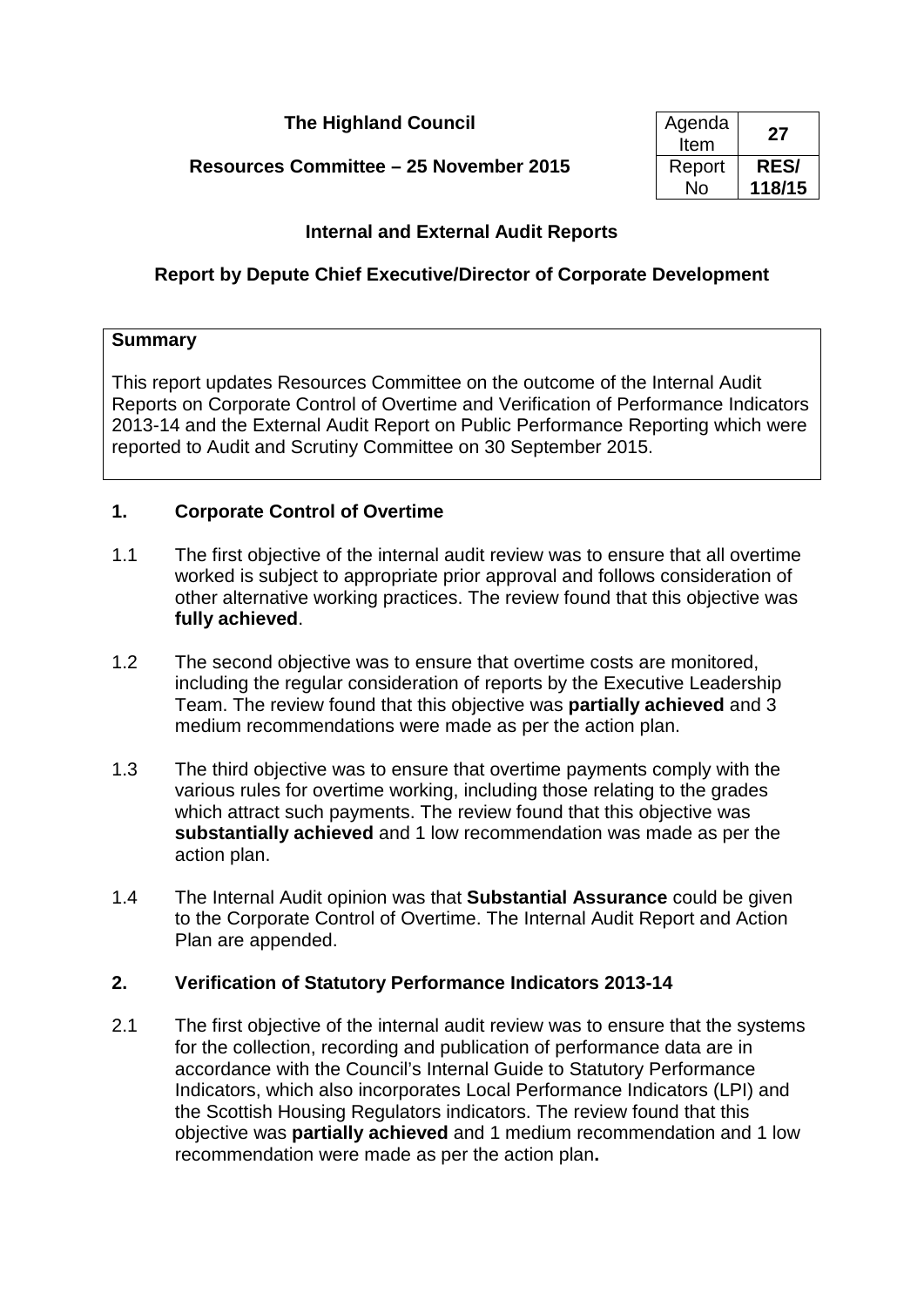**The Highland Council** 

**Resources Committee – 25 November 2015** 

| Agenda<br>Item | 27          |
|----------------|-------------|
| Report         | <b>RES/</b> |
| N٥             | 118/15      |

## **Internal and External Audit Reports**

## **Report by Depute Chief Executive/Director of Corporate Development**

#### **Summary**

This report updates Resources Committee on the outcome of the Internal Audit Reports on Corporate Control of Overtime and Verification of Performance Indicators 2013-14 and the External Audit Report on Public Performance Reporting which were reported to Audit and Scrutiny Committee on 30 September 2015.

#### **1. Corporate Control of Overtime**

- 1.1 The first objective of the internal audit review was to ensure that all overtime worked is subject to appropriate prior approval and follows consideration of other alternative working practices. The review found that this objective was **fully achieved**.
- 1.2 The second objective was to ensure that overtime costs are monitored, including the regular consideration of reports by the Executive Leadership Team. The review found that this objective was **partially achieved** and 3 medium recommendations were made as per the action plan.
- 1.3 The third objective was to ensure that overtime payments comply with the various rules for overtime working, including those relating to the grades which attract such payments. The review found that this objective was **substantially achieved** and 1 low recommendation was made as per the action plan.
- 1.4 The Internal Audit opinion was that **Substantial Assurance** could be given to the Corporate Control of Overtime. The Internal Audit Report and Action Plan are appended.

#### **2. Verification of Statutory Performance Indicators 2013-14**

2.1 The first objective of the internal audit review was to ensure that the systems for the collection, recording and publication of performance data are in accordance with the Council's Internal Guide to Statutory Performance Indicators, which also incorporates Local Performance Indicators (LPI) and the Scottish Housing Regulators indicators. The review found that this objective was **partially achieved** and 1 medium recommendation and 1 low recommendation were made as per the action plan**.**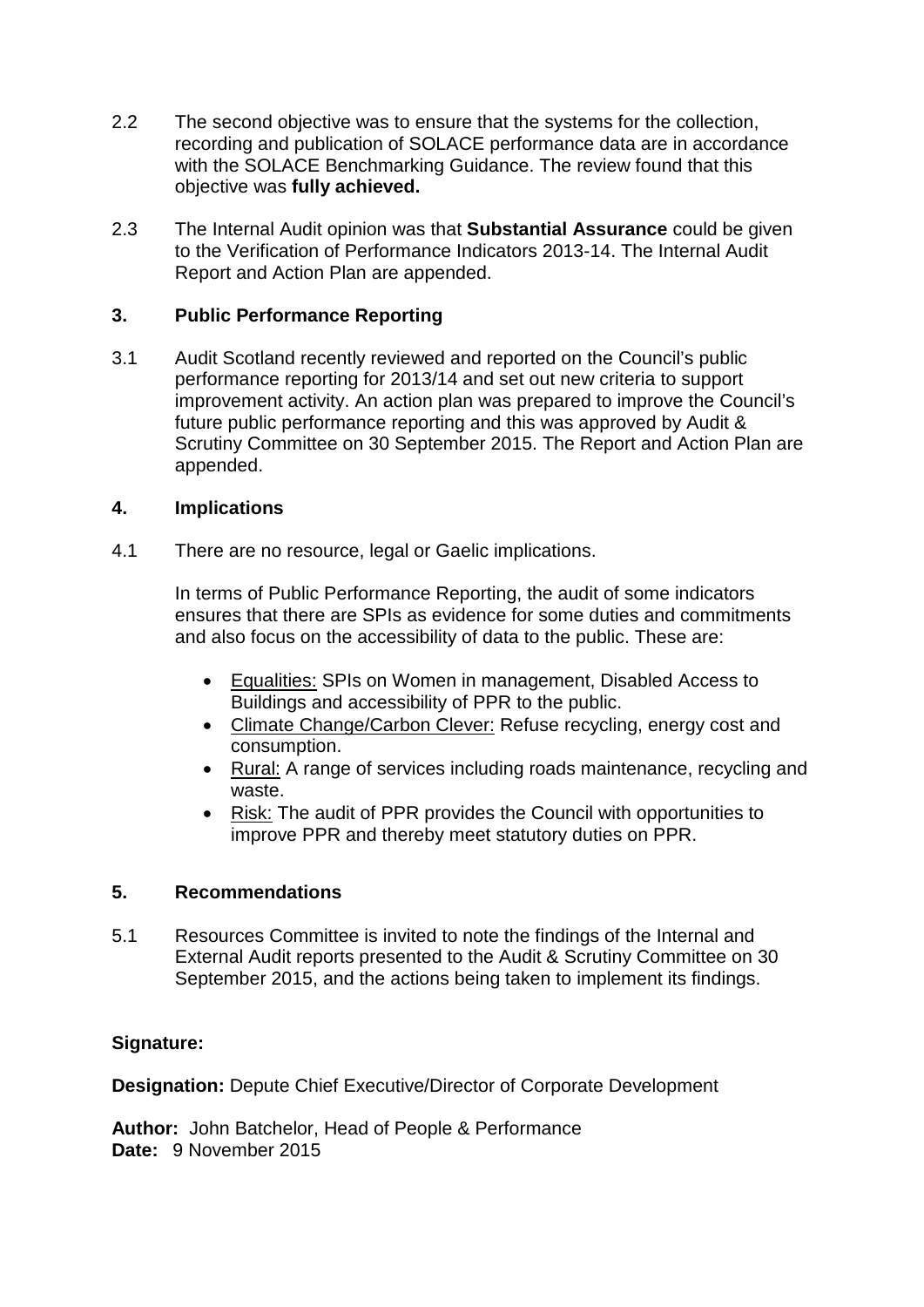- 2.2 The second objective was to ensure that the systems for the collection, recording and publication of SOLACE performance data are in accordance with the SOLACE Benchmarking Guidance. The review found that this objective was **fully achieved.**
- 2.3 The Internal Audit opinion was that **Substantial Assurance** could be given to the Verification of Performance Indicators 2013-14. The Internal Audit Report and Action Plan are appended.

## **3. Public Performance Reporting**

3.1 Audit Scotland recently reviewed and reported on the Council's public performance reporting for 2013/14 and set out new criteria to support improvement activity. An action plan was prepared to improve the Council's future public performance reporting and this was approved by Audit & Scrutiny Committee on 30 September 2015. The Report and Action Plan are appended.

#### **4. Implications**

4.1 There are no resource, legal or Gaelic implications.

In terms of Public Performance Reporting, the audit of some indicators ensures that there are SPIs as evidence for some duties and commitments and also focus on the accessibility of data to the public. These are:

- Equalities: SPIs on Women in management, Disabled Access to Buildings and accessibility of PPR to the public.
- Climate Change/Carbon Clever: Refuse recycling, energy cost and consumption.
- Rural: A range of services including roads maintenance, recycling and waste.
- Risk: The audit of PPR provides the Council with opportunities to improve PPR and thereby meet statutory duties on PPR.

#### **5. Recommendations**

5.1 Resources Committee is invited to note the findings of the Internal and External Audit reports presented to the Audit & Scrutiny Committee on 30 September 2015, and the actions being taken to implement its findings.

#### **Signature:**

**Designation:** Depute Chief Executive/Director of Corporate Development

**Author:** John Batchelor, Head of People & Performance **Date:** 9 November 2015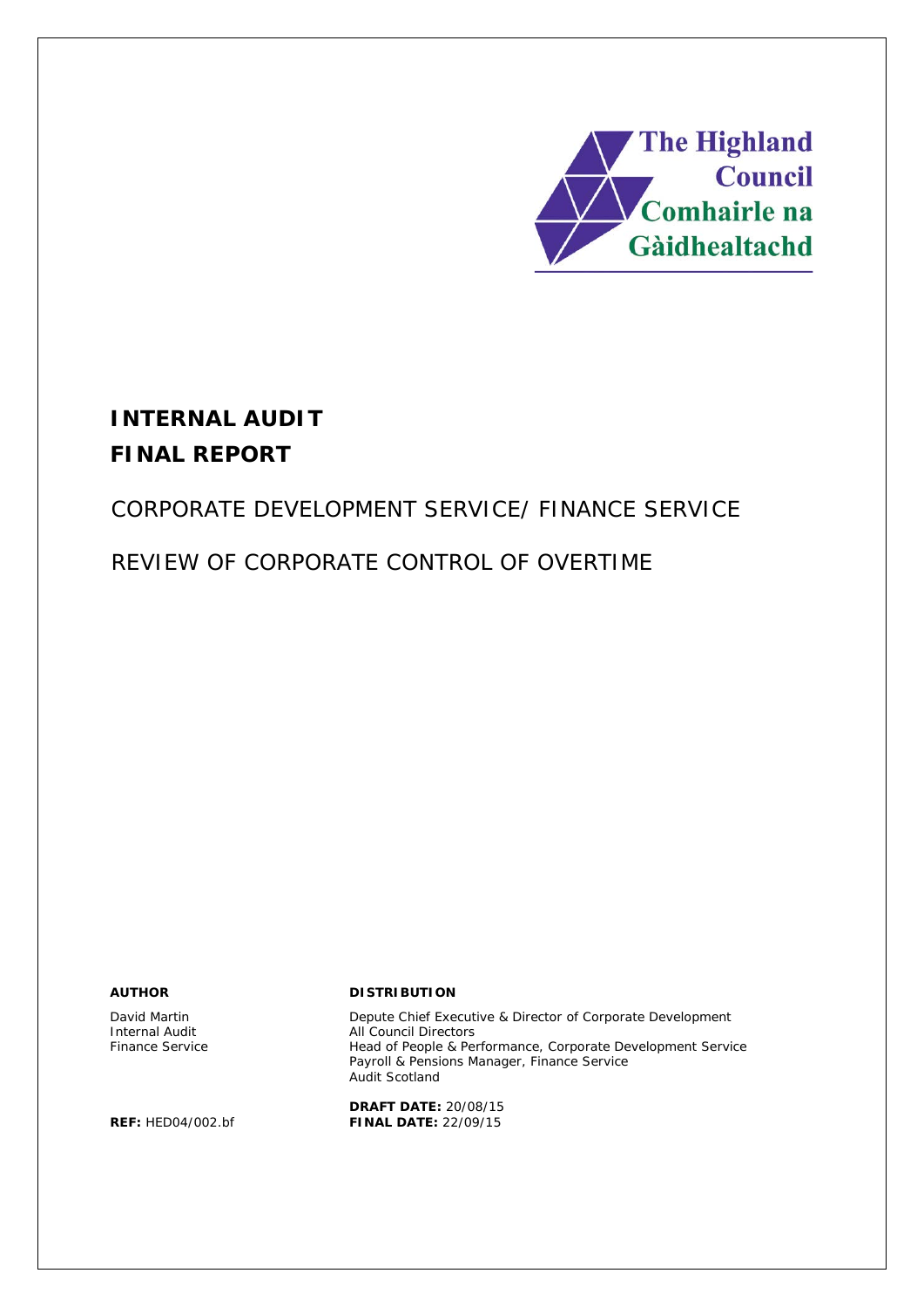

# **INTERNAL AUDIT FINAL REPORT**

# CORPORATE DEVELOPMENT SERVICE/ FINANCE SERVICE

# REVIEW OF CORPORATE CONTROL OF OVERTIME

David Martin Internal Audit Finance Service

#### **AUTHOR DISTRIBUTION**

Depute Chief Executive & Director of Corporate Development All Council Directors Head of People & Performance, Corporate Development Service Payroll & Pensions Manager, Finance Service Audit Scotland

**DRAFT DATE:** 20/08/15 **REF:** HED04/002.bf **FINAL DATE:** 22/09/15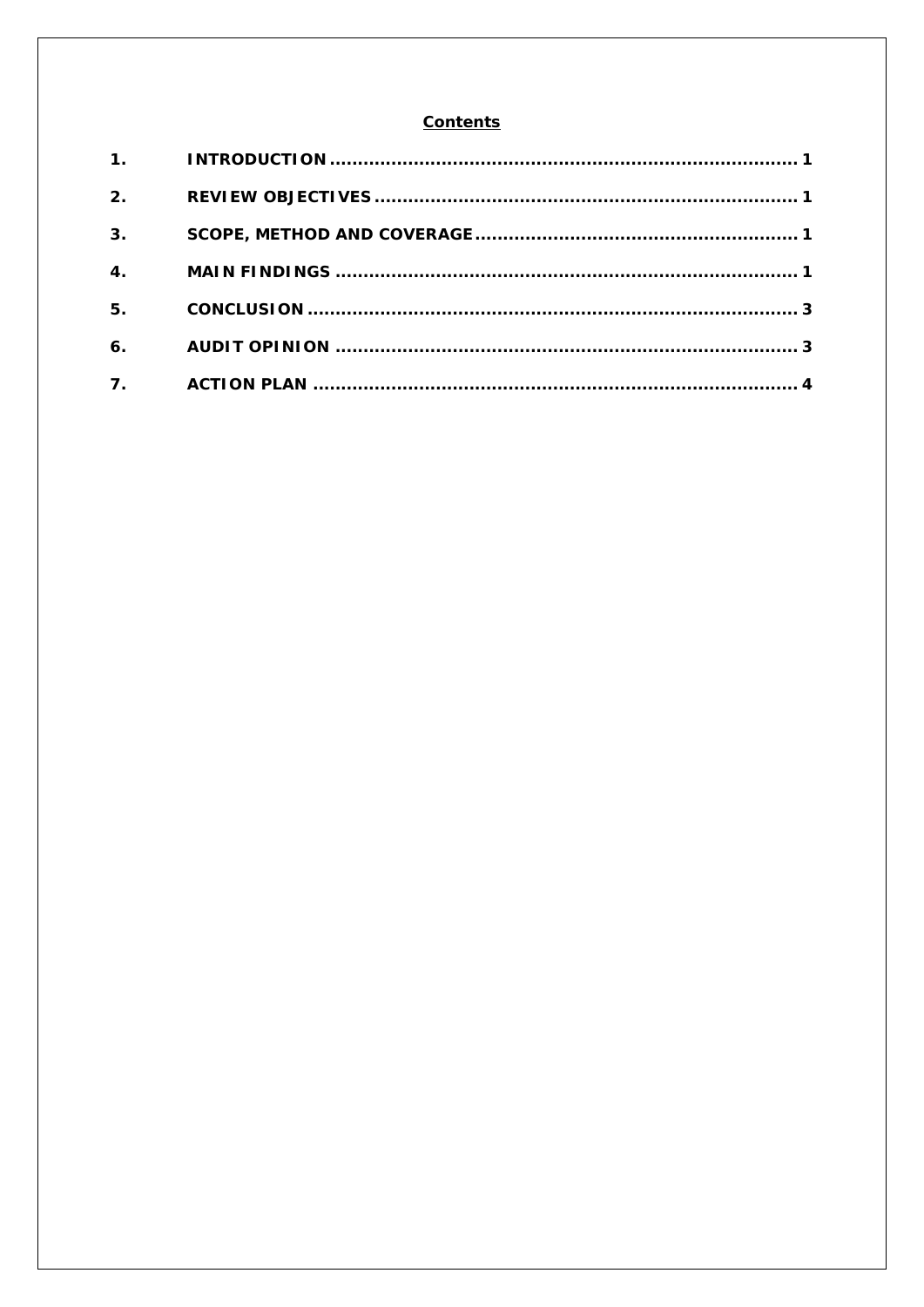#### **Contents**

| 2.                        |  |
|---------------------------|--|
| 3 <sub>1</sub>            |  |
| $\overline{\mathbf{4}}$ . |  |
| 5.                        |  |
| 6.                        |  |
| 7.                        |  |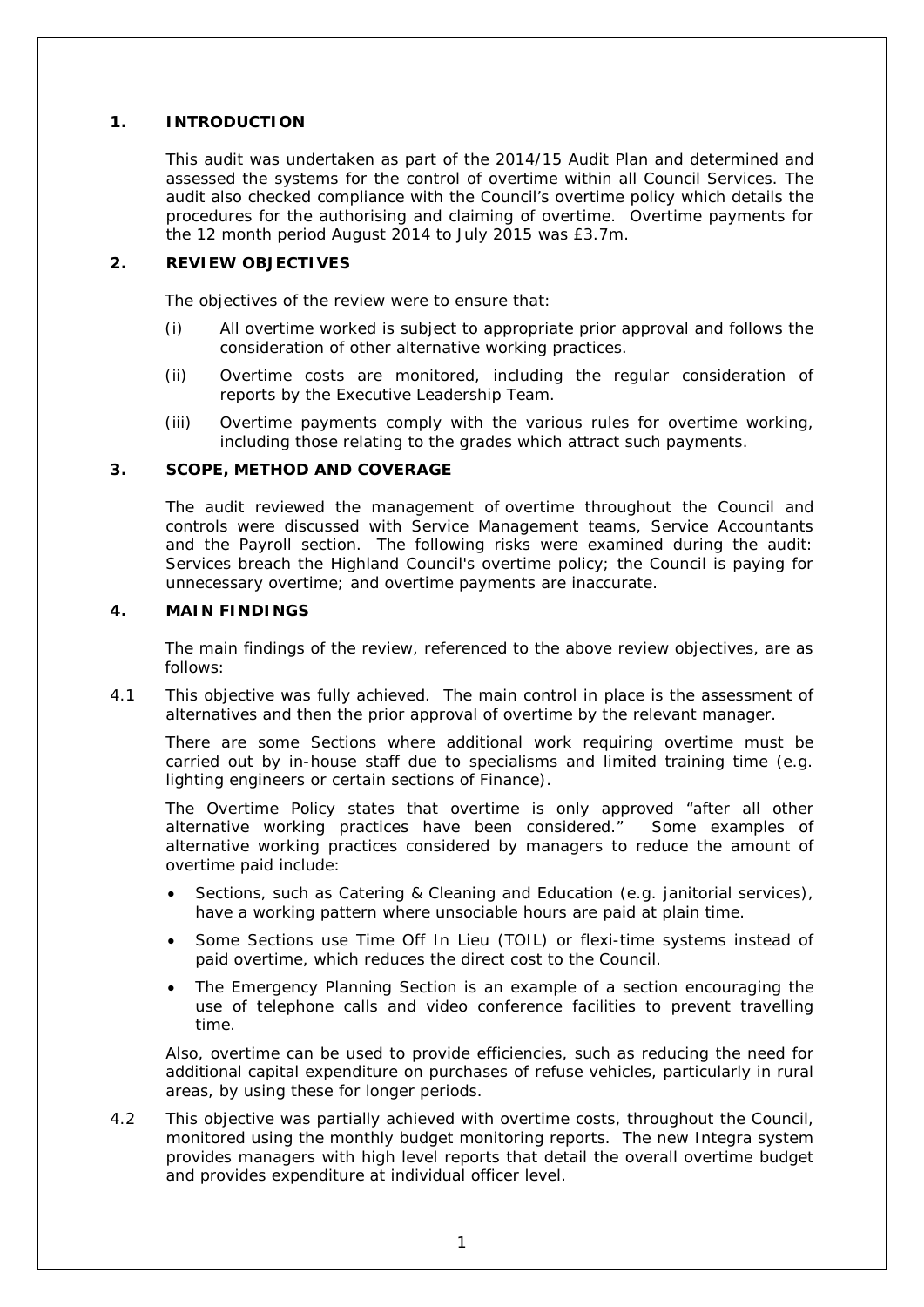#### **1. INTRODUCTION**

This audit was undertaken as part of the 2014/15 Audit Plan and determined and assessed the systems for the control of overtime within all Council Services. The audit also checked compliance with the Council's overtime policy which details the procedures for the authorising and claiming of overtime. Overtime payments for the 12 month period August 2014 to July 2015 was £3.7m.

#### **2. REVIEW OBJECTIVES**

The objectives of the review were to ensure that:

- (i) All overtime worked is subject to appropriate prior approval and follows the consideration of other alternative working practices.
- (ii) Overtime costs are monitored, including the regular consideration of reports by the Executive Leadership Team.
- (iii) Overtime payments comply with the various rules for overtime working, including those relating to the grades which attract such payments.

#### **3. SCOPE, METHOD AND COVERAGE**

The audit reviewed the management of overtime throughout the Council and controls were discussed with Service Management teams, Service Accountants and the Payroll section. The following risks were examined during the audit: Services breach the Highland Council's overtime policy; the Council is paying for unnecessary overtime; and overtime payments are inaccurate.

#### **4. MAIN FINDINGS**

The main findings of the review, referenced to the above review objectives, are as follows:

4.1 This objective was fully achieved. The main control in place is the assessment of alternatives and then the prior approval of overtime by the relevant manager.

There are some Sections where additional work requiring overtime must be carried out by in-house staff due to specialisms and limited training time (e.g. lighting engineers or certain sections of Finance).

The Overtime Policy states that overtime is only approved "after all other alternative working practices have been considered." Some examples of alternative working practices considered by managers to reduce the amount of overtime paid include:

- Sections, such as Catering & Cleaning and Education (e.g. janitorial services), have a working pattern where unsociable hours are paid at plain time.
- Some Sections use Time Off In Lieu (TOIL) or flexi-time systems instead of paid overtime, which reduces the direct cost to the Council.
- The Emergency Planning Section is an example of a section encouraging the use of telephone calls and video conference facilities to prevent travelling time.

Also, overtime can be used to provide efficiencies, such as reducing the need for additional capital expenditure on purchases of refuse vehicles, particularly in rural areas, by using these for longer periods.

4.2 This objective was partially achieved with overtime costs, throughout the Council, monitored using the monthly budget monitoring reports. The new Integra system provides managers with high level reports that detail the overall overtime budget and provides expenditure at individual officer level.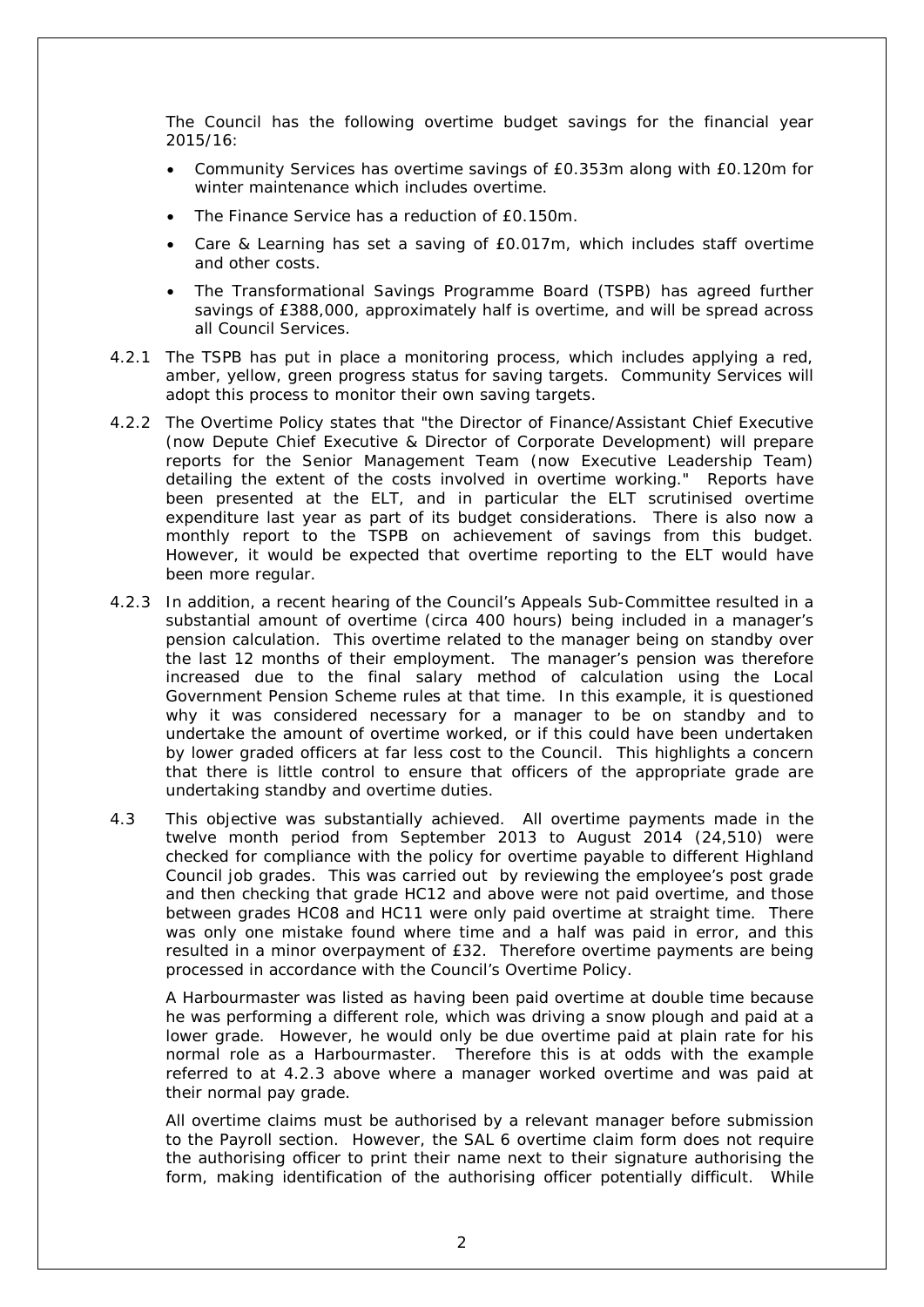The Council has the following overtime budget savings for the financial year 2015/16:

- Community Services has overtime savings of £0.353m along with £0.120m for winter maintenance which includes overtime.
- The Finance Service has a reduction of £0.150m.
- Care & Learning has set a saving of £0.017m, which includes staff overtime and other costs.
- The Transformational Savings Programme Board (TSPB) has agreed further savings of £388,000, approximately half is overtime, and will be spread across all Council Services.
- 4.2.1 The TSPB has put in place a monitoring process, which includes applying a red, amber, yellow, green progress status for saving targets. Community Services will adopt this process to monitor their own saving targets.
- 4.2.2 The Overtime Policy states that *"the Director of Finance/Assistant Chief Executive (now Depute Chief Executive & Director of Corporate Development) will prepare reports for the Senior Management Team* (now Executive Leadership Team*) detailing the extent of the costs involved in overtime working."* Reports have been presented at the ELT, and in particular the ELT scrutinised overtime expenditure last year as part of its budget considerations. There is also now a monthly report to the TSPB on achievement of savings from this budget. However, it would be expected that overtime reporting to the ELT would have been more regular.
- 4.2.3 In addition, a recent hearing of the Council's Appeals Sub-Committee resulted in a substantial amount of overtime (circa 400 hours) being included in a manager's pension calculation. This overtime related to the manager being on standby over the last 12 months of their employment. The manager's pension was therefore increased due to the final salary method of calculation using the Local Government Pension Scheme rules at that time. In this example, it is questioned why it was considered necessary for a manager to be on standby and to undertake the amount of overtime worked, or if this could have been undertaken by lower graded officers at far less cost to the Council. This highlights a concern that there is little control to ensure that officers of the appropriate grade are undertaking standby and overtime duties.
- 4.3 This objective was substantially achieved. All overtime payments made in the twelve month period from September 2013 to August 2014 (24,510) were checked for compliance with the policy for overtime payable to different Highland Council job grades. This was carried out by reviewing the employee's post grade and then checking that grade HC12 and above were not paid overtime, and those between grades HC08 and HC11 were only paid overtime at straight time. There was only one mistake found where time and a half was paid in error, and this resulted in a minor overpayment of £32. Therefore overtime payments are being processed in accordance with the Council's Overtime Policy.

A Harbourmaster was listed as having been paid overtime at double time because he was performing a different role, which was driving a snow plough and paid at a lower grade. However, he would only be due overtime paid at plain rate for his normal role as a Harbourmaster. Therefore this is at odds with the example referred to at 4.2.3 above where a manager worked overtime and was paid at their normal pay grade.

All overtime claims must be authorised by a relevant manager before submission to the Payroll section. However, the SAL 6 overtime claim form does not require the authorising officer to print their name next to their signature authorising the form, making identification of the authorising officer potentially difficult. While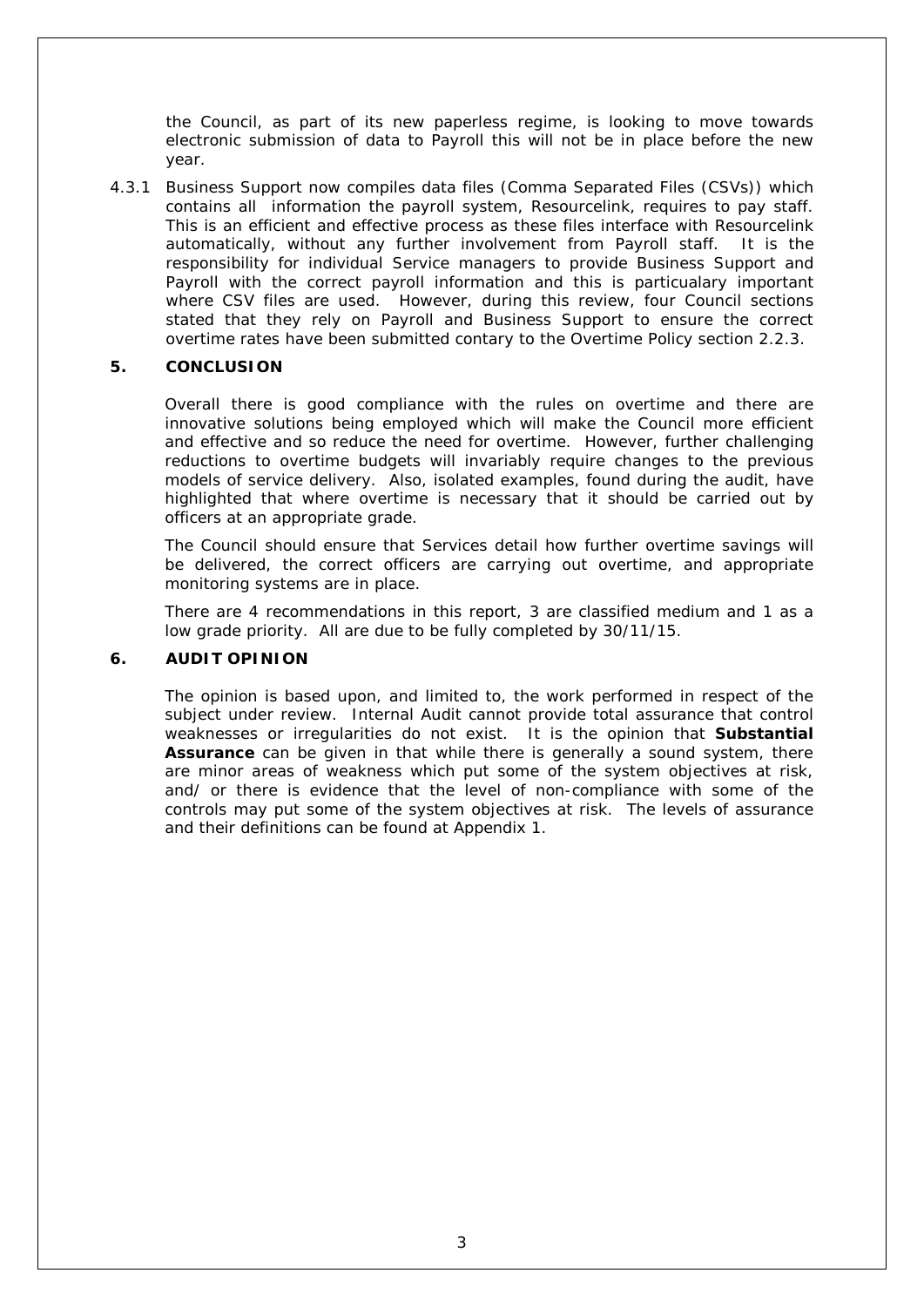the Council, as part of its new paperless regime, is looking to move towards electronic submission of data to Payroll this will not be in place before the new year.

4.3.1 Business Support now compiles data files (Comma Separated Files (CSVs)) which contains all information the payroll system, Resourcelink, requires to pay staff. This is an efficient and effective process as these files interface with Resourcelink automatically, without any further involvement from Payroll staff. It is the responsibility for individual Service managers to provide Business Support and Payroll with the correct payroll information and this is particualary important where CSV files are used. However, during this review, four Council sections stated that they rely on Payroll and Business Support to ensure the correct overtime rates have been submitted contary to the Overtime Policy section 2.2.3.

#### **5. CONCLUSION**

Overall there is good compliance with the rules on overtime and there are innovative solutions being employed which will make the Council more efficient and effective and so reduce the need for overtime. However, further challenging reductions to overtime budgets will invariably require changes to the previous models of service delivery. Also, isolated examples, found during the audit, have highlighted that where overtime is necessary that it should be carried out by officers at an appropriate grade.

The Council should ensure that Services detail how further overtime savings will be delivered, the correct officers are carrying out overtime, and appropriate monitoring systems are in place.

There are 4 recommendations in this report, 3 are classified medium and 1 as a low grade priority. All are due to be fully completed by 30/11/15.

#### **6. AUDIT OPINION**

The opinion is based upon, and limited to, the work performed in respect of the subject under review. Internal Audit cannot provide total assurance that control weaknesses or irregularities do not exist. It is the opinion that **Substantial Assurance** can be given in that while there is generally a sound system, there are minor areas of weakness which put some of the system objectives at risk, and/ or there is evidence that the level of non-compliance with some of the controls may put some of the system objectives at risk. The levels of assurance and their definitions can be found at Appendix 1.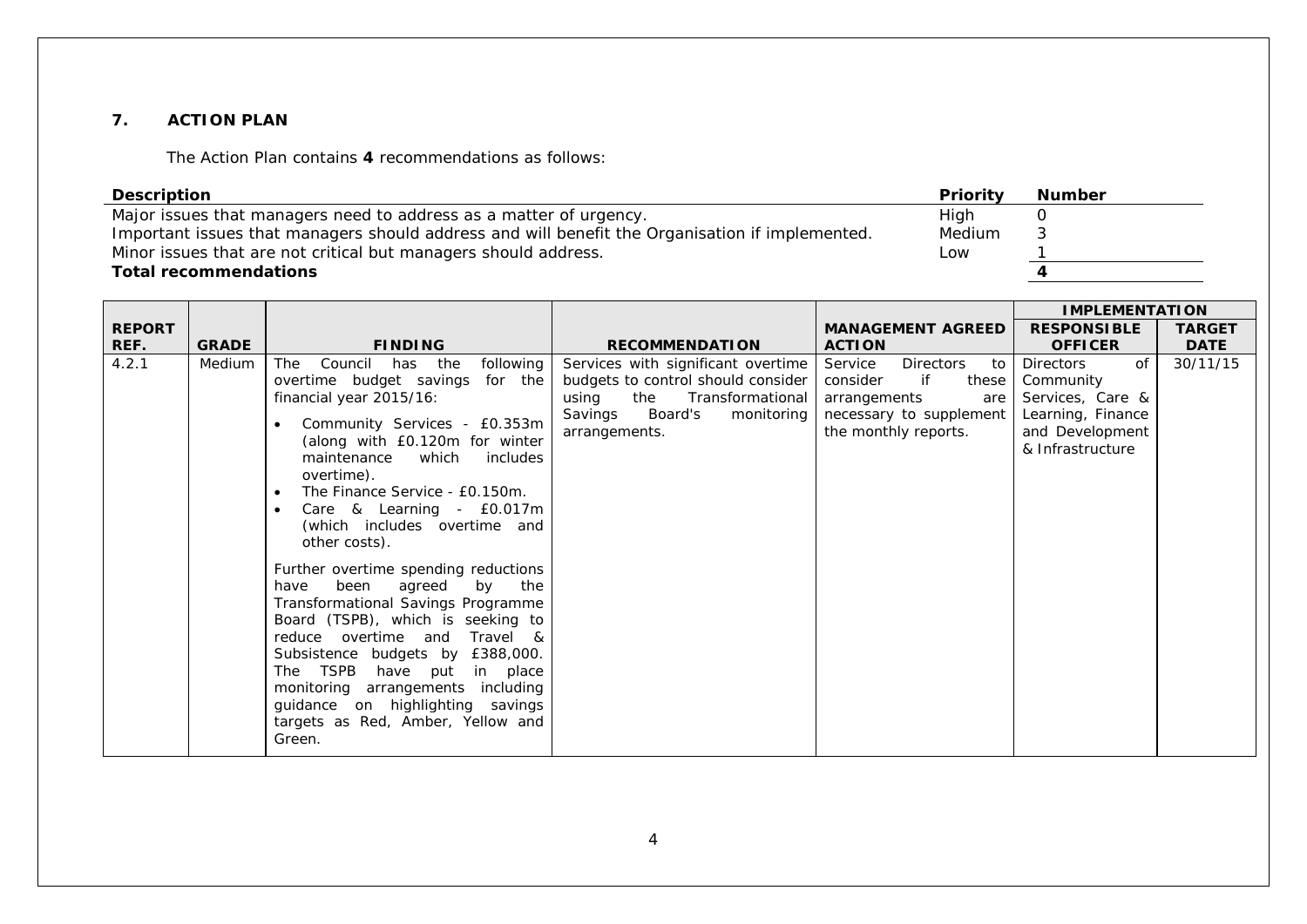#### **7. ACTION PLAN**

The Action Plan contains **4** recommendations as follows:

| <b>Description</b>                                                                              | Priority | <b>Number</b> |
|-------------------------------------------------------------------------------------------------|----------|---------------|
| Major issues that managers need to address as a matter of urgency.                              | High     |               |
| Important issues that managers should address and will benefit the Organisation if implemented. | Medium   |               |
| Minor issues that are not critical but managers should address.                                 | Low      |               |
| <b>Total recommendations</b>                                                                    |          |               |

|               |              |                                                                                                                                                                                                                                                                                                                                                                                                                                                                                                                                                                                                                                                                                                                                                                                     |                                                                                                                                                                   |                                                                                                                                        | <b>IMPLEMENTATION</b>                                                                                               |               |
|---------------|--------------|-------------------------------------------------------------------------------------------------------------------------------------------------------------------------------------------------------------------------------------------------------------------------------------------------------------------------------------------------------------------------------------------------------------------------------------------------------------------------------------------------------------------------------------------------------------------------------------------------------------------------------------------------------------------------------------------------------------------------------------------------------------------------------------|-------------------------------------------------------------------------------------------------------------------------------------------------------------------|----------------------------------------------------------------------------------------------------------------------------------------|---------------------------------------------------------------------------------------------------------------------|---------------|
| <b>REPORT</b> |              |                                                                                                                                                                                                                                                                                                                                                                                                                                                                                                                                                                                                                                                                                                                                                                                     |                                                                                                                                                                   | <b>MANAGEMENT AGREED</b>                                                                                                               | <b>RESPONSIBLE</b>                                                                                                  | <b>TARGET</b> |
| REF.          | <b>GRADE</b> | <b>FINDING</b>                                                                                                                                                                                                                                                                                                                                                                                                                                                                                                                                                                                                                                                                                                                                                                      | <b>RECOMMENDATION</b>                                                                                                                                             | <b>ACTION</b>                                                                                                                          | <b>OFFICER</b>                                                                                                      | <b>DATE</b>   |
| 4.2.1         | Medium       | following<br><b>The</b><br>Council has the<br>overtime budget savings<br>for the<br>financial year 2015/16:<br>Community Services - £0.353m<br>$\bullet$<br>(along with £0.120m for winter<br>which<br>maintenance<br>includes<br>overtime).<br>The Finance Service - £0.150m.<br>$\bullet$<br>Care & Learning - £0.017m<br>$\bullet$<br>(which includes overtime and<br>other costs).<br>Further overtime spending reductions<br>the<br>been<br>agreed<br>have<br>by<br>Transformational Savings Programme<br>Board (TSPB), which is seeking to<br>Travel &<br>reduce overtime and<br>Subsistence budgets by £388,000.<br>The TSPB<br>have put<br>in place<br>monitoring arrangements including<br>guidance on highlighting savings<br>targets as Red, Amber, Yellow and<br>Green. | Services with significant overtime<br>budgets to control should consider<br>using<br>the<br>Transformational<br>Savings<br>Board's<br>monitoring<br>arrangements. | Service<br><b>Directors</b><br>to<br>consider<br>if<br>these<br>arrangements<br>are<br>necessary to supplement<br>the monthly reports. | of<br><b>Directors</b><br>Community<br>Services, Care &<br>Learning, Finance<br>and Development<br>& Infrastructure | 30/11/15      |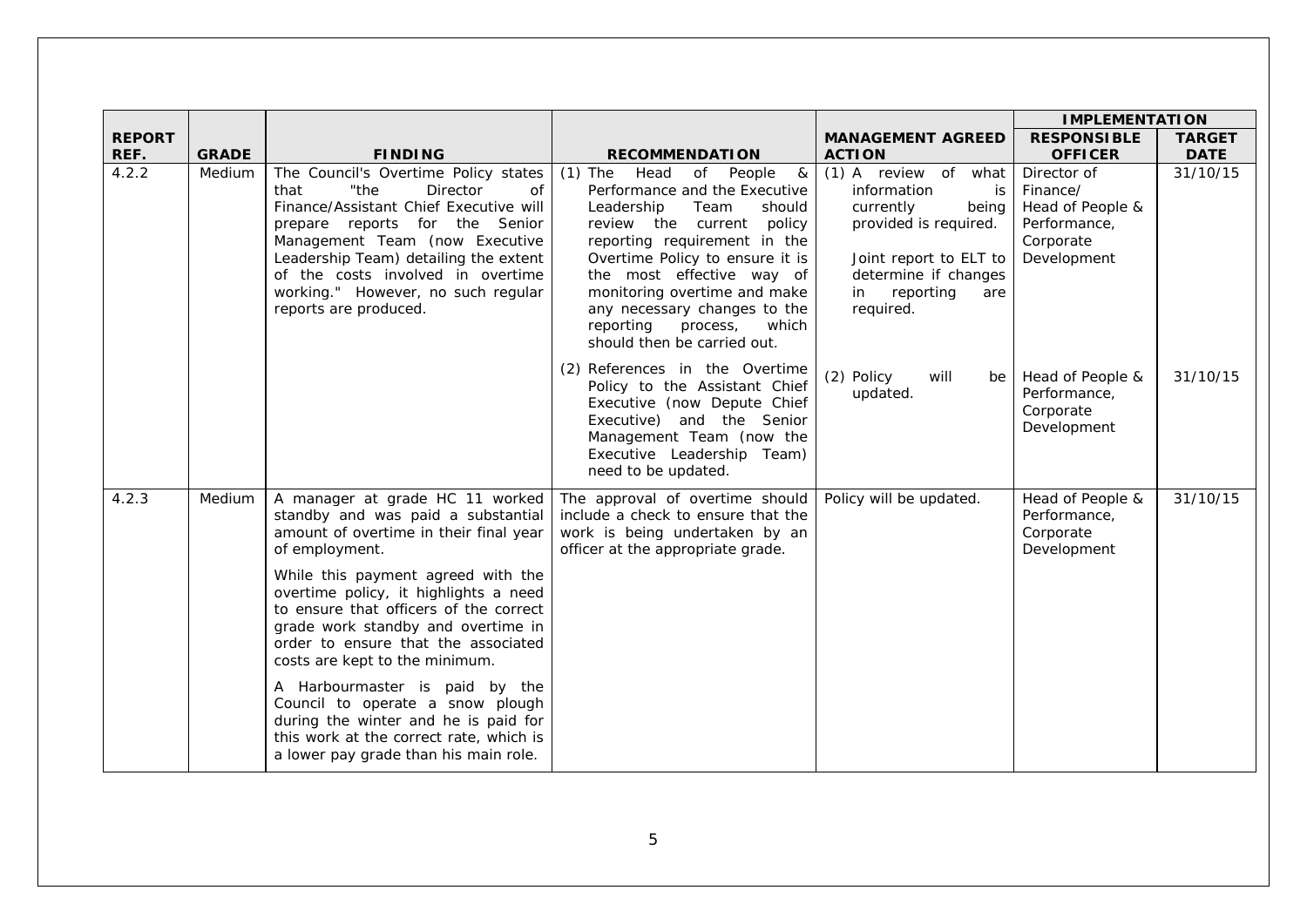|               |              |                                                                                                                                                                                                                                                                                                                                                                                                                                                                                                                                                                             |                                                                                                                                                                                                                                                                                                                                                                                           |                                                                                                                                                                                     | <b>IMPLEMENTATION</b>                                                                   |               |
|---------------|--------------|-----------------------------------------------------------------------------------------------------------------------------------------------------------------------------------------------------------------------------------------------------------------------------------------------------------------------------------------------------------------------------------------------------------------------------------------------------------------------------------------------------------------------------------------------------------------------------|-------------------------------------------------------------------------------------------------------------------------------------------------------------------------------------------------------------------------------------------------------------------------------------------------------------------------------------------------------------------------------------------|-------------------------------------------------------------------------------------------------------------------------------------------------------------------------------------|-----------------------------------------------------------------------------------------|---------------|
| <b>REPORT</b> |              |                                                                                                                                                                                                                                                                                                                                                                                                                                                                                                                                                                             |                                                                                                                                                                                                                                                                                                                                                                                           | <b>MANAGEMENT AGREED</b>                                                                                                                                                            | <b>RESPONSIBLE</b>                                                                      | <b>TARGET</b> |
| REF.          | <b>GRADE</b> | <b>FINDING</b>                                                                                                                                                                                                                                                                                                                                                                                                                                                                                                                                                              | <b>RECOMMENDATION</b>                                                                                                                                                                                                                                                                                                                                                                     | <b>ACTION</b>                                                                                                                                                                       | <b>OFFICER</b>                                                                          | <b>DATE</b>   |
| 4.2.2         | Medium       | The Council's Overtime Policy states<br>"the<br><b>Director</b><br>of<br>that<br>Finance/Assistant Chief Executive will<br>prepare reports for the Senior<br>Management Team (now Executive<br>Leadership Team) detailing the extent<br>of the costs involved in overtime<br>working." However, no such regular<br>reports are produced.                                                                                                                                                                                                                                    | $(1)$ The<br>Head<br>of People<br>$\boldsymbol{\alpha}$<br>Performance and the Executive<br>Leadership<br>Team<br>should<br>review the current<br>policy<br>reporting requirement in the<br>Overtime Policy to ensure it is<br>the most effective way of<br>monitoring overtime and make<br>any necessary changes to the<br>reporting<br>which<br>process,<br>should then be carried out. | (1) A review of what<br>information<br>is<br>currently<br>being  <br>provided is required.<br>Joint report to ELT to<br>determine if changes<br>reporting<br>in<br>are<br>required. | Director of<br>Finance/<br>Head of People &<br>Performance,<br>Corporate<br>Development | 31/10/15      |
|               |              |                                                                                                                                                                                                                                                                                                                                                                                                                                                                                                                                                                             | (2) References in the Overtime<br>Policy to the Assistant Chief<br>Executive (now Depute Chief<br>Executive) and the Senior<br>Management Team (now the<br>Executive Leadership Team)<br>need to be updated.                                                                                                                                                                              | (2) Policy<br>will<br>be<br>updated.                                                                                                                                                | Head of People &<br>Performance,<br>Corporate<br>Development                            | 31/10/15      |
| 4.2.3         | Medium       | A manager at grade HC 11 worked<br>standby and was paid a substantial<br>amount of overtime in their final year<br>of employment.<br>While this payment agreed with the<br>overtime policy, it highlights a need<br>to ensure that officers of the correct<br>grade work standby and overtime in<br>order to ensure that the associated<br>costs are kept to the minimum.<br>A Harbourmaster is paid by the<br>Council to operate a snow plough<br>during the winter and he is paid for<br>this work at the correct rate, which is<br>a lower pay grade than his main role. | The approval of overtime should<br>include a check to ensure that the<br>work is being undertaken by an<br>officer at the appropriate grade.                                                                                                                                                                                                                                              | Policy will be updated.                                                                                                                                                             | Head of People &<br>Performance,<br>Corporate<br>Development                            | 31/10/15      |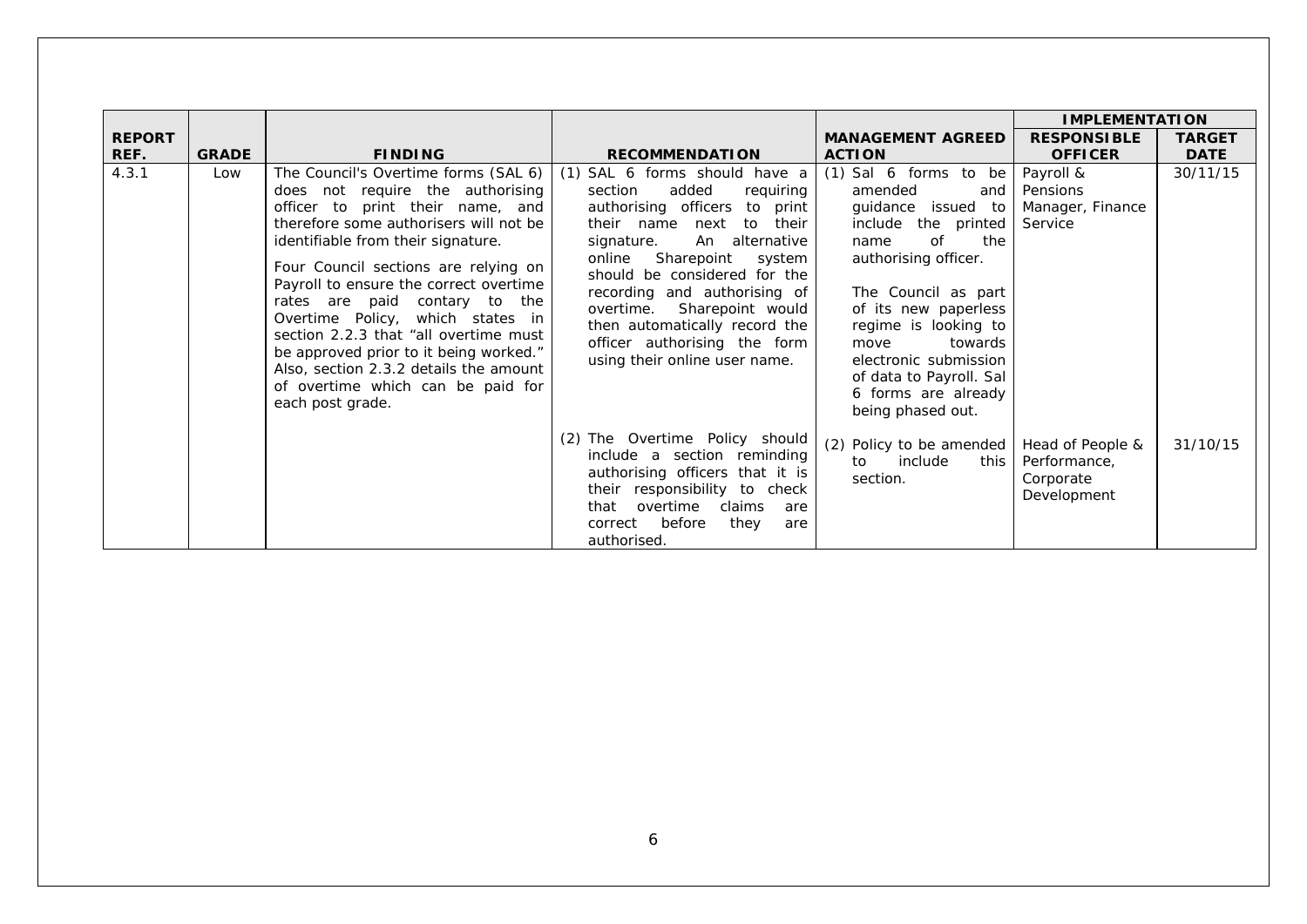|               |              |                                                                                                                                                                                                                                                                                                                                                                                                                                                                                                                                            |                                                                                                                                                                                                                                                                                                                                                                                                                 |                                                                                                                                                                                                                                                                                                                                       | <b>IMPLEMENTATION</b>                                        |               |
|---------------|--------------|--------------------------------------------------------------------------------------------------------------------------------------------------------------------------------------------------------------------------------------------------------------------------------------------------------------------------------------------------------------------------------------------------------------------------------------------------------------------------------------------------------------------------------------------|-----------------------------------------------------------------------------------------------------------------------------------------------------------------------------------------------------------------------------------------------------------------------------------------------------------------------------------------------------------------------------------------------------------------|---------------------------------------------------------------------------------------------------------------------------------------------------------------------------------------------------------------------------------------------------------------------------------------------------------------------------------------|--------------------------------------------------------------|---------------|
| <b>REPORT</b> |              |                                                                                                                                                                                                                                                                                                                                                                                                                                                                                                                                            |                                                                                                                                                                                                                                                                                                                                                                                                                 | <b>MANAGEMENT AGREED</b>                                                                                                                                                                                                                                                                                                              | <b>RESPONSIBLE</b>                                           | <b>TARGET</b> |
| REF.          | <b>GRADE</b> | <b>FINDING</b>                                                                                                                                                                                                                                                                                                                                                                                                                                                                                                                             | <b>RECOMMENDATION</b>                                                                                                                                                                                                                                                                                                                                                                                           | <b>ACTION</b>                                                                                                                                                                                                                                                                                                                         | <b>OFFICER</b>                                               | <b>DATE</b>   |
| 4.3.1         | Low          | The Council's Overtime forms (SAL 6)<br>does not require the authorising<br>officer to print their name, and<br>therefore some authorisers will not be<br>identifiable from their signature.<br>Four Council sections are relying on<br>Payroll to ensure the correct overtime<br>rates are paid contary to the<br>Overtime Policy, which states in<br>section 2.2.3 that "all overtime must"<br>be approved prior to it being worked."<br>Also, section 2.3.2 details the amount<br>of overtime which can be paid for<br>each post grade. | SAL 6 forms should have a<br>(1)<br>added<br>section<br>requiring<br>authorising officers<br>to print<br>their name<br>their<br>to<br>next<br>An alternative<br>signature.<br>online<br>Sharepoint<br>system<br>should be considered for the<br>recording and authorising of<br>overtime.<br>Sharepoint would<br>then automatically record the<br>officer authorising the form<br>using their online user name. | $(1)$ Sal 6 forms to be<br>amended<br>and I<br>guidance<br>issued to<br>include<br>the printed<br>of<br>the<br>name<br>authorising officer.<br>The Council as part<br>of its new paperless<br>regime is looking to<br>towards<br>move<br>electronic submission<br>of data to Payroll. Sal<br>6 forms are already<br>being phased out. | Payroll &<br>Pensions<br>Manager, Finance<br>Service         | 30/11/15      |
|               |              |                                                                                                                                                                                                                                                                                                                                                                                                                                                                                                                                            | (2) The Overtime Policy should<br>include a section reminding<br>authorising officers that it is<br>their responsibility to check<br>overtime<br>claims<br>that<br>are<br>before<br>they<br>correct<br>are<br>authorised.                                                                                                                                                                                       | Policy to be amended<br>(2)<br>include<br>this I<br>to<br>section.                                                                                                                                                                                                                                                                    | Head of People &<br>Performance,<br>Corporate<br>Development | 31/10/15      |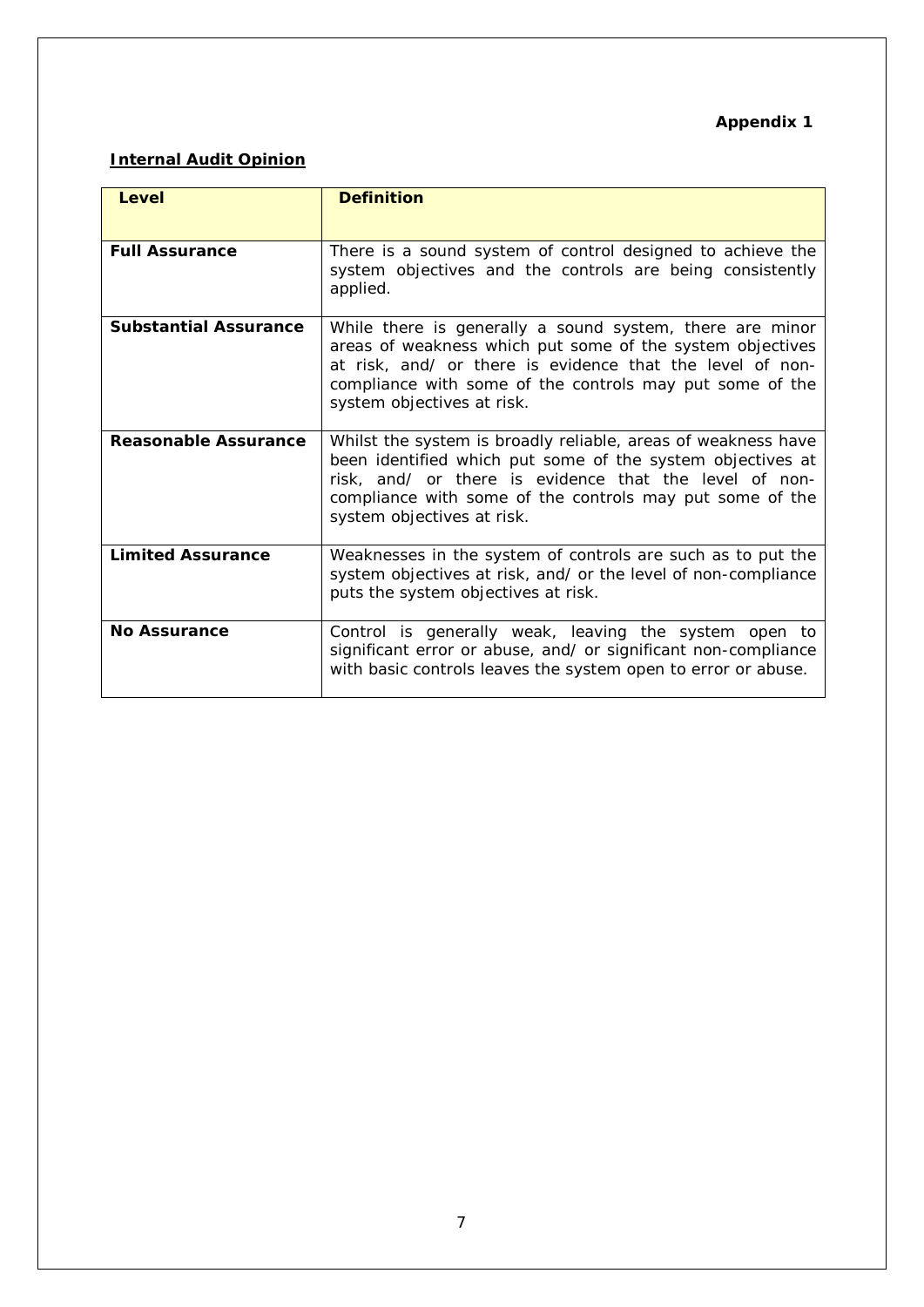## **Appendix 1**

## **Internal Audit Opinion**

| Level                        | <b>Definition</b>                                                                                                                                                                                                                                                               |
|------------------------------|---------------------------------------------------------------------------------------------------------------------------------------------------------------------------------------------------------------------------------------------------------------------------------|
| <b>Full Assurance</b>        | There is a sound system of control designed to achieve the<br>system objectives and the controls are being consistently<br>applied.                                                                                                                                             |
| <b>Substantial Assurance</b> | While there is generally a sound system, there are minor<br>areas of weakness which put some of the system objectives<br>at risk, and/ or there is evidence that the level of non-<br>compliance with some of the controls may put some of the<br>system objectives at risk.    |
| Reasonable Assurance         | Whilst the system is broadly reliable, areas of weakness have<br>been identified which put some of the system objectives at<br>risk, and/ or there is evidence that the level of non-<br>compliance with some of the controls may put some of the<br>system objectives at risk. |
| <b>Limited Assurance</b>     | Weaknesses in the system of controls are such as to put the<br>system objectives at risk, and/ or the level of non-compliance<br>puts the system objectives at risk.                                                                                                            |
| <b>No Assurance</b>          | Control is generally weak, leaving the system open to<br>significant error or abuse, and/ or significant non-compliance<br>with basic controls leaves the system open to error or abuse.                                                                                        |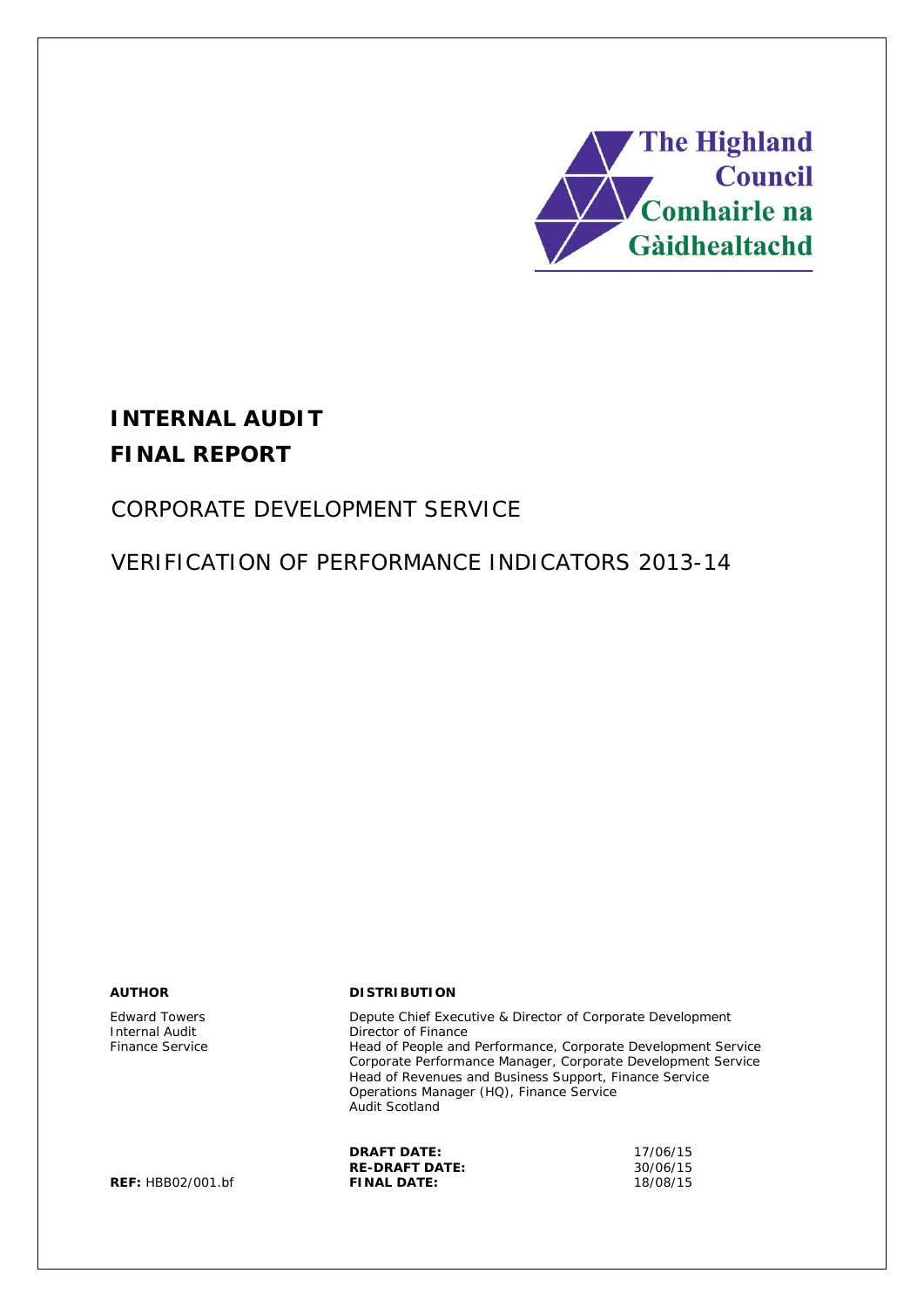

# **INTERNAL AUDIT FINAL REPORT**

# CORPORATE DEVELOPMENT SERVICE

VERIFICATION OF PERFORMANCE INDICATORS 2013-14

Edward Towers Internal Audit Finance Service

#### **AUTHOR DISTRIBUTION**

Depute Chief Executive & Director of Corporate Development Director of Finance Head of People and Performance, Corporate Development Service Corporate Performance Manager, Corporate Development Service Head of Revenues and Business Support, Finance Service Operations Manager (HQ), Finance Service Audit Scotland

|                   | <b>DRAFT DATE:</b>    | 17/06/15 |
|-------------------|-----------------------|----------|
|                   | <b>RE-DRAFT DATE:</b> | 30/06/15 |
| REF: HBB02/001.bf | <b>FINAL DATE:</b>    | 18/08/15 |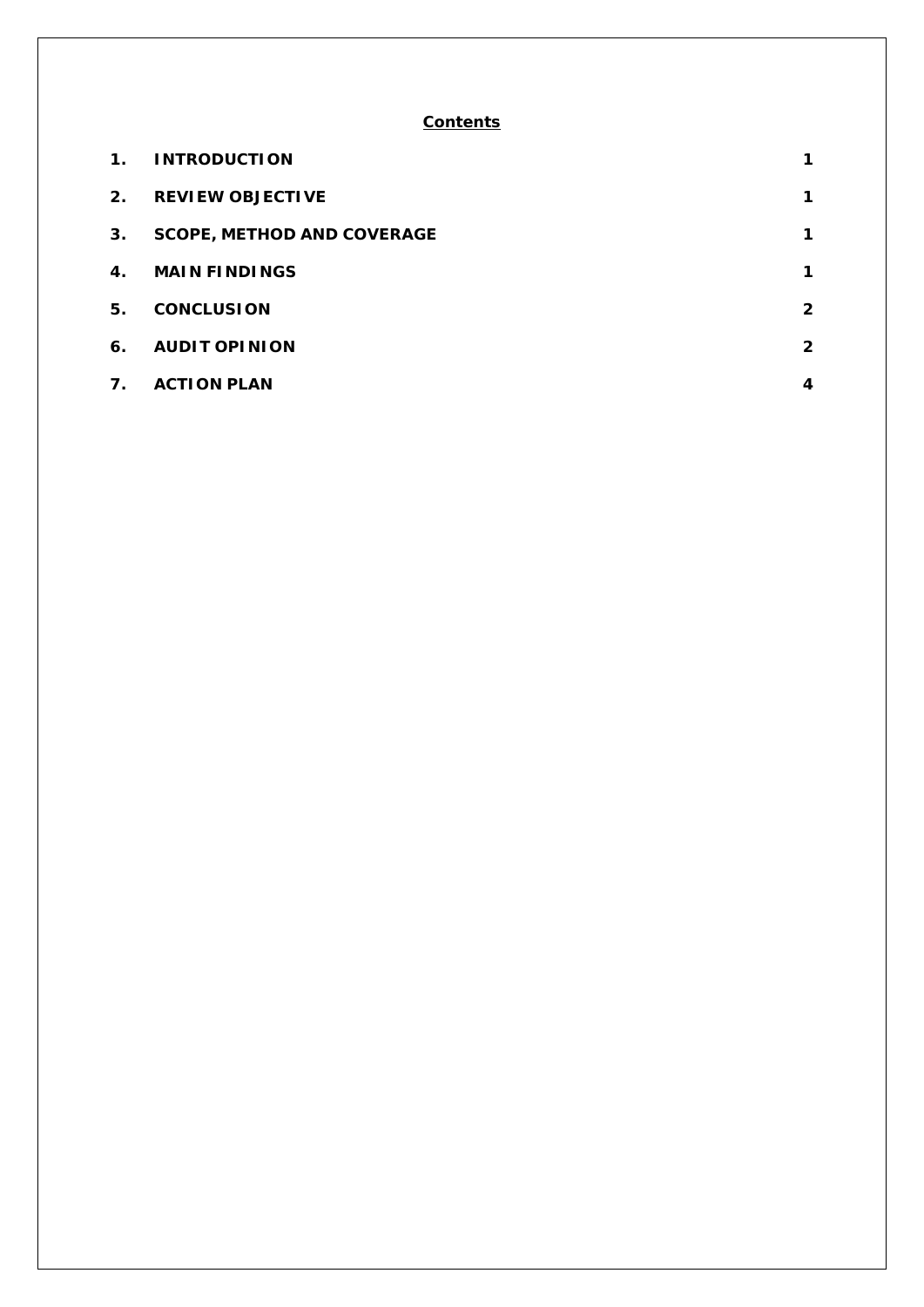#### **Contents**

| $\mathbf 1$ . | <b>INTRODUCTION</b>               | $\mathbf 1$  |
|---------------|-----------------------------------|--------------|
| 2.            | <b>REVIEW OBJECTIVE</b>           | 1            |
| 3.            | <b>SCOPE, METHOD AND COVERAGE</b> | 1            |
| 4.            | <b>MAIN FINDINGS</b>              | 1            |
| 5.            | <b>CONCLUSION</b>                 | $\mathbf{2}$ |
| 6.            | <b>AUDIT OPINION</b>              | $\mathbf{2}$ |
| 7.            | <b>ACTION PLAN</b>                | 4            |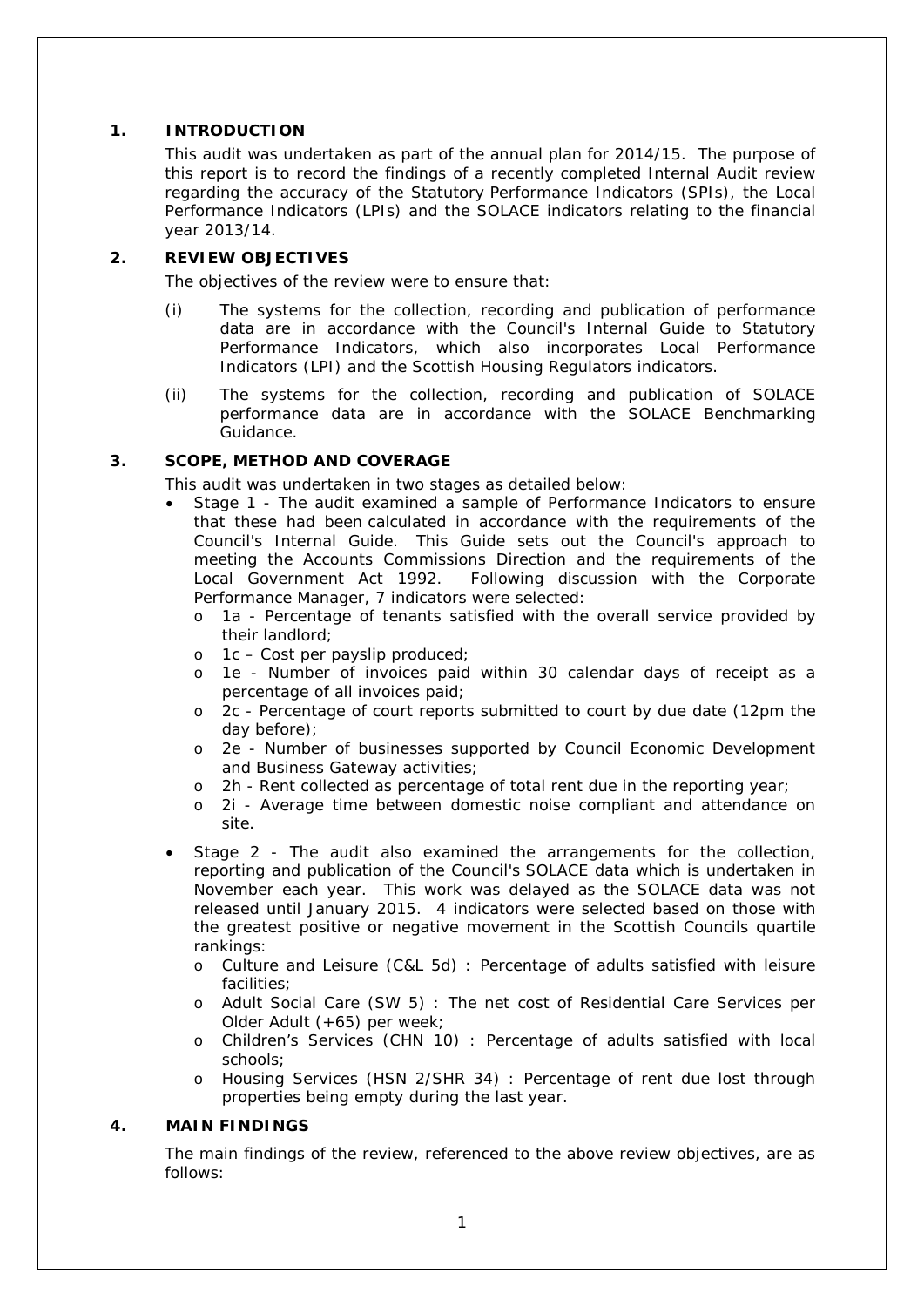#### **1. INTRODUCTION**

This audit was undertaken as part of the annual plan for 2014/15. The purpose of this report is to record the findings of a recently completed Internal Audit review regarding the accuracy of the Statutory Performance Indicators (SPIs), the Local Performance Indicators (LPIs) and the SOLACE indicators relating to the financial year 2013/14.

#### **2. REVIEW OBJECTIVES**

The objectives of the review were to ensure that:

- (i) The systems for the collection, recording and publication of performance data are in accordance with the Council's Internal Guide to Statutory Performance Indicators, which also incorporates Local Performance Indicators (LPI) and the Scottish Housing Regulators indicators.
- (ii) The systems for the collection, recording and publication of SOLACE performance data are in accordance with the SOLACE Benchmarking Guidance.

#### **3. SCOPE, METHOD AND COVERAGE**

This audit was undertaken in two stages as detailed below:

- Stage 1 The audit examined a sample of Performance Indicators to ensure that these had been calculated in accordance with the requirements of the Council's Internal Guide. This Guide sets out the Council's approach to meeting the Accounts Commissions Direction and the requirements of the Local Government Act 1992. Following discussion with the Corporate Performance Manager, 7 indicators were selected:
	- o 1a Percentage of tenants satisfied with the overall service provided by their landlord;
	- $o$  1c Cost per payslip produced;
	- o 1e Number of invoices paid within 30 calendar days of receipt as a percentage of all invoices paid;
	- o 2c Percentage of court reports submitted to court by due date (12pm the day before);
	- o 2e Number of businesses supported by Council Economic Development and Business Gateway activities;
	- o 2h Rent collected as percentage of total rent due in the reporting year;
	- o 2i Average time between domestic noise compliant and attendance on site.
- Stage 2 The audit also examined the arrangements for the collection, reporting and publication of the Council's SOLACE data which is undertaken in November each year. This work was delayed as the SOLACE data was not released until January 2015. 4 indicators were selected based on those with the greatest positive or negative movement in the Scottish Councils quartile rankings:
	- o Culture and Leisure (C&L 5d) : Percentage of adults satisfied with leisure facilities;
	- o Adult Social Care (SW 5) : The net cost of Residential Care Services per Older Adult (+65) per week;
	- o Children's Services (CHN 10) : Percentage of adults satisfied with local schools;
	- o Housing Services (HSN 2/SHR 34) : Percentage of rent due lost through properties being empty during the last year.

#### **4. MAIN FINDINGS**

The main findings of the review, referenced to the above review objectives, are as follows: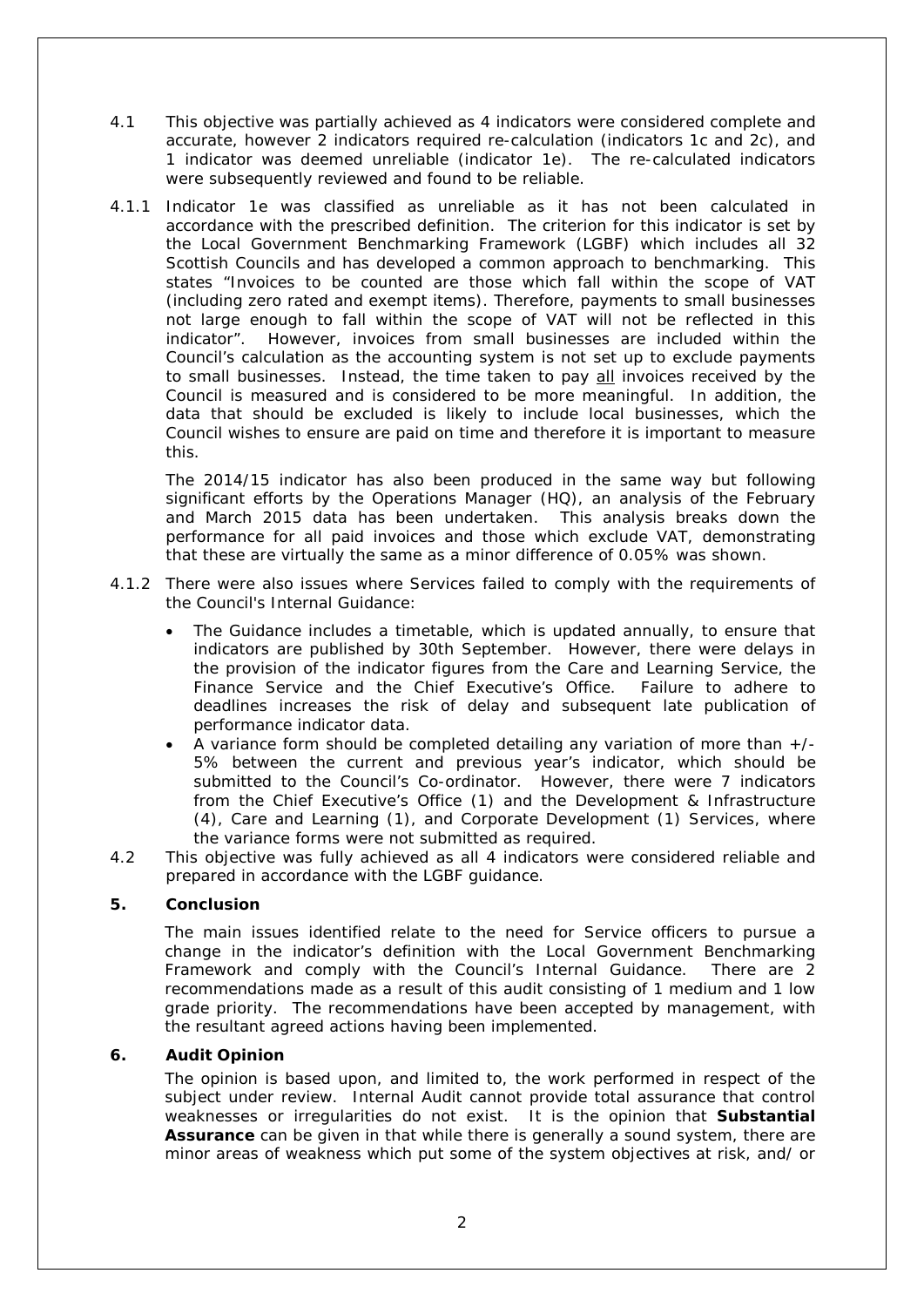- 4.1 This objective was partially achieved as 4 indicators were considered complete and accurate, however 2 indicators required re-calculation (indicators 1c and 2c), and 1 indicator was deemed unreliable (indicator 1e). The re-calculated indicators were subsequently reviewed and found to be reliable.
- 4.1.1 Indicator 1e was classified as unreliable as it has not been calculated in accordance with the prescribed definition. The criterion for this indicator is set by the Local Government Benchmarking Framework (LGBF) which includes all 32 Scottish Councils and has developed a common approach to benchmarking. This states "*Invoices to be counted are those which fall within the scope of VAT (including zero rated and exempt items). Therefore, payments to small businesses not large enough to fall within the scope of VAT will not be reflected in this indicator*". However, invoices from small businesses are included within the Council's calculation as the accounting system is not set up to exclude payments to small businesses. Instead, the time taken to pay all invoices received by the Council is measured and is considered to be more meaningful. In addition, the data that should be excluded is likely to include local businesses, which the Council wishes to ensure are paid on time and therefore it is important to measure this.

The 2014/15 indicator has also been produced in the same way but following significant efforts by the Operations Manager (HQ), an analysis of the February and March 2015 data has been undertaken. This analysis breaks down the performance for all paid invoices and those which exclude VAT, demonstrating that these are virtually the same as a minor difference of 0.05% was shown.

- 4.1.2 There were also issues where Services failed to comply with the requirements of the Council's Internal Guidance:
	- The Guidance includes a timetable, which is updated annually, to ensure that indicators are published by 30th September. However, there were delays in the provision of the indicator figures from the Care and Learning Service, the Finance Service and the Chief Executive's Office. Failure to adhere to deadlines increases the risk of delay and subsequent late publication of performance indicator data.
	- A variance form should be completed detailing any variation of more than  $+/-$ 5% between the current and previous year's indicator, which should be submitted to the Council's Co-ordinator. However, there were 7 indicators from the Chief Executive's Office (1) and the Development & Infrastructure (4), Care and Learning (1), and Corporate Development (1) Services, where the variance forms were not submitted as required.
- 4.2 This objective was fully achieved as all 4 indicators were considered reliable and prepared in accordance with the LGBF guidance.

#### **5. Conclusion**

The main issues identified relate to the need for Service officers to pursue a change in the indicator's definition with the Local Government Benchmarking Framework and comply with the Council's Internal Guidance. There are 2 recommendations made as a result of this audit consisting of 1 medium and 1 low grade priority. The recommendations have been accepted by management, with the resultant agreed actions having been implemented.

#### **6. Audit Opinion**

The opinion is based upon, and limited to, the work performed in respect of the subject under review. Internal Audit cannot provide total assurance that control weaknesses or irregularities do not exist. It is the opinion that **Substantial Assurance** can be given in that while there is generally a sound system, there are minor areas of weakness which put some of the system objectives at risk, and/ or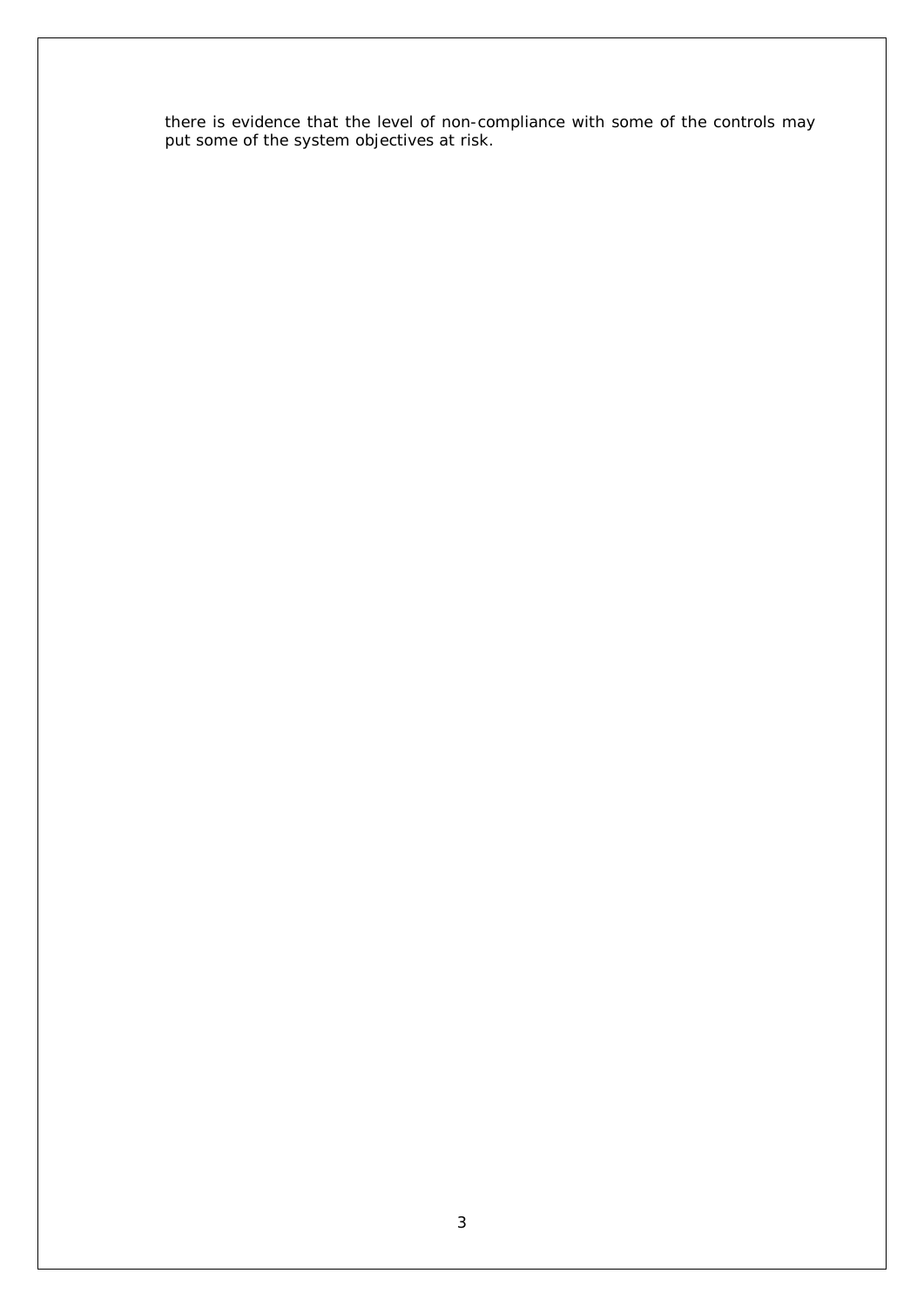there is evidence that the level of non-compliance with some of the controls may put some of the system objectives at risk.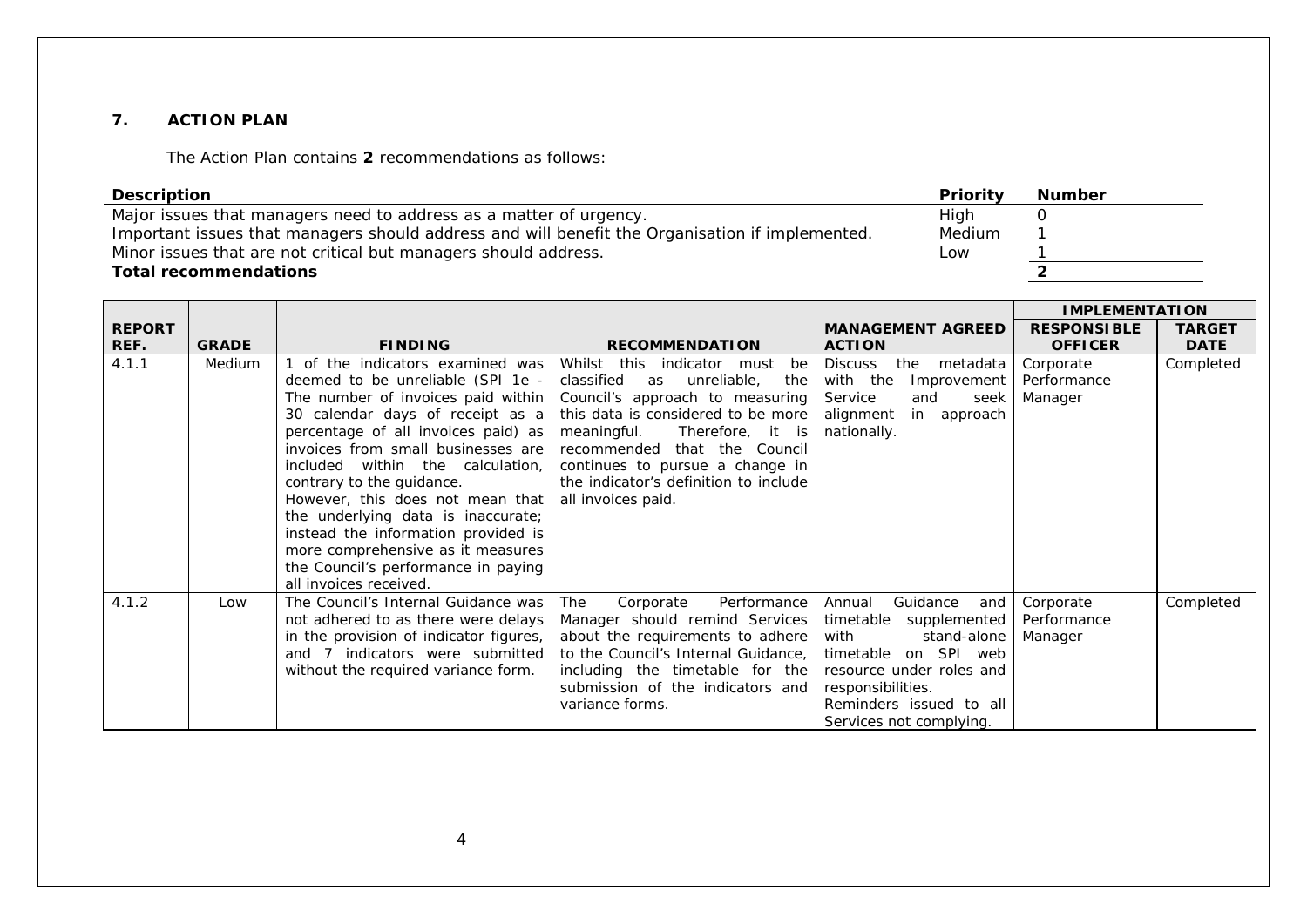#### **7. ACTION PLAN**

The Action Plan contains **2** recommendations as follows:

| <b>Description</b>                                                                              | Priority | <b>Number</b> |
|-------------------------------------------------------------------------------------------------|----------|---------------|
| Major issues that managers need to address as a matter of urgency.                              | High     |               |
| Important issues that managers should address and will benefit the Organisation if implemented. | Medium   |               |
| Minor issues that are not critical but managers should address.                                 | Low      |               |
| <b>Total recommendations</b>                                                                    |          |               |

|               |              |                                                                                                                                                                                                                                                                                                                                                                                                                                                                                             |                                                                                                                                                                                                                                                                                                                                |                                                                                                                                                                                                           | <b>IMPLEMENTATION</b>               |               |
|---------------|--------------|---------------------------------------------------------------------------------------------------------------------------------------------------------------------------------------------------------------------------------------------------------------------------------------------------------------------------------------------------------------------------------------------------------------------------------------------------------------------------------------------|--------------------------------------------------------------------------------------------------------------------------------------------------------------------------------------------------------------------------------------------------------------------------------------------------------------------------------|-----------------------------------------------------------------------------------------------------------------------------------------------------------------------------------------------------------|-------------------------------------|---------------|
| <b>REPORT</b> |              |                                                                                                                                                                                                                                                                                                                                                                                                                                                                                             |                                                                                                                                                                                                                                                                                                                                | <b>MANAGEMENT AGREED</b>                                                                                                                                                                                  | <b>RESPONSIBLE</b>                  | <b>TARGET</b> |
| REF.          | <b>GRADE</b> | <b>FINDING</b>                                                                                                                                                                                                                                                                                                                                                                                                                                                                              | <b>RECOMMENDATION</b>                                                                                                                                                                                                                                                                                                          | <b>ACTION</b>                                                                                                                                                                                             | <b>OFFICER</b>                      | <b>DATE</b>   |
| 4.1.1         | Medium       | of the indicators examined was<br>deemed to be unreliable (SPI 1e -<br>The number of invoices paid within<br>30 calendar days of receipt as a<br>percentage of all invoices paid) as<br>invoices from small businesses are<br>within the calculation,<br>included<br>contrary to the guidance.<br>However, this does not mean that<br>the underlying data is inaccurate;<br>instead the information provided is<br>more comprehensive as it measures<br>the Council's performance in paying | Whilst this<br>indicator must<br>be<br>classified<br>unreliable,<br>as<br>the<br>Council's approach to measuring<br>this data is considered to be more<br>meaningful.<br>Therefore, it is<br>recommended that the<br>Council<br>continues to pursue a change in<br>the indicator's definition to include<br>all invoices paid. | the<br><b>Discuss</b><br>metadata<br>with the<br>Improvement<br>Service<br>and<br>seek<br>alignment<br>in approach<br>nationally.                                                                         | Corporate<br>Performance<br>Manager | Completed     |
|               |              | all invoices received.                                                                                                                                                                                                                                                                                                                                                                                                                                                                      |                                                                                                                                                                                                                                                                                                                                |                                                                                                                                                                                                           |                                     |               |
| 4.1.2         | Low          | The Council's Internal Guidance was<br>not adhered to as there were delays<br>in the provision of indicator figures,<br>and 7 indicators were submitted<br>without the required variance form.                                                                                                                                                                                                                                                                                              | The<br>Corporate<br>Performance<br>Manager should remind Services<br>about the requirements to adhere<br>to the Council's Internal Guidance,<br>including the timetable for the<br>submission of the indicators and<br>variance forms.                                                                                         | Guidance<br>Annual<br>and<br>timetable supplemented<br>stand-alone<br>with<br>timetable on SPI web<br>resource under roles and<br>responsibilities.<br>Reminders issued to all<br>Services not complying. | Corporate<br>Performance<br>Manager | Completed     |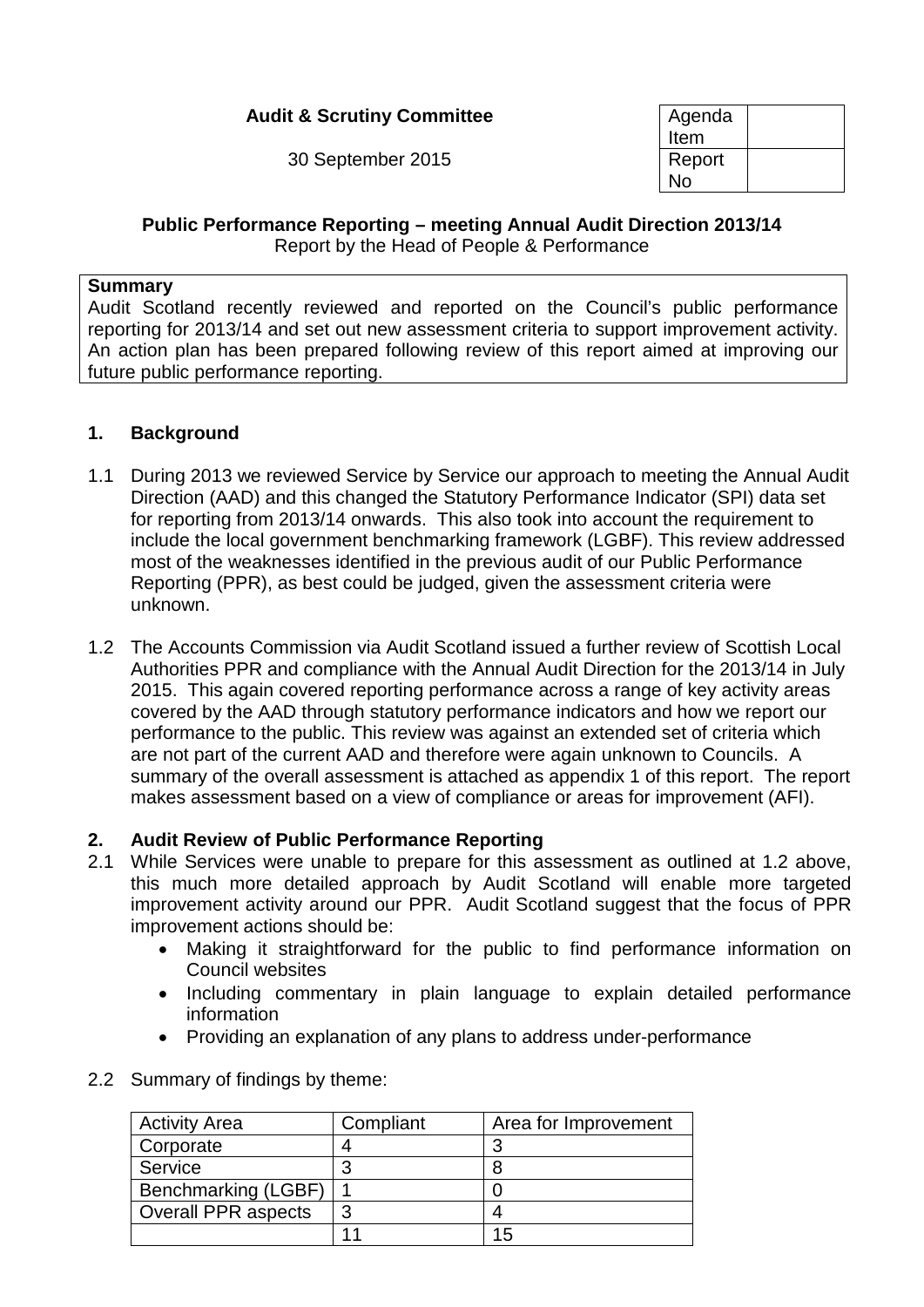## **Audit & Scrutiny Committee**

30 September 2015

| Agenda<br>Item |  |
|----------------|--|
| Report<br>N٥   |  |

# **Public Performance Reporting – meeting Annual Audit Direction 2013/14**

Report by the Head of People & Performance

#### **Summary**

Audit Scotland recently reviewed and reported on the Council's public performance reporting for 2013/14 and set out new assessment criteria to support improvement activity. An action plan has been prepared following review of this report aimed at improving our future public performance reporting.

## **1. Background**

- 1.1 During 2013 we reviewed Service by Service our approach to meeting the Annual Audit Direction (AAD) and this changed the Statutory Performance Indicator (SPI) data set for reporting from 2013/14 onwards. This also took into account the requirement to include the local government benchmarking framework (LGBF). This review addressed most of the weaknesses identified in the previous audit of our Public Performance Reporting (PPR), as best could be judged, given the assessment criteria were unknown.
- 1.2 The Accounts Commission via Audit Scotland issued a further review of Scottish Local Authorities PPR and compliance with the Annual Audit Direction for the 2013/14 in July 2015. This again covered reporting performance across a range of key activity areas covered by the AAD through statutory performance indicators and how we report our performance to the public. This review was against an extended set of criteria which are not part of the current AAD and therefore were again unknown to Councils. A summary of the overall assessment is attached as appendix 1 of this report. The report makes assessment based on a view of compliance or areas for improvement (AFI).

#### **2. Audit Review of Public Performance Reporting**

- 2.1 While Services were unable to prepare for this assessment as outlined at 1.2 above, this much more detailed approach by Audit Scotland will enable more targeted improvement activity around our PPR. Audit Scotland suggest that the focus of PPR improvement actions should be:
	- Making it straightforward for the public to find performance information on Council websites
	- Including commentary in plain language to explain detailed performance information
	- Providing an explanation of any plans to address under-performance
- 2.2 Summary of findings by theme:

| <b>Activity Area</b>       | Compliant | Area for Improvement |
|----------------------------|-----------|----------------------|
| Corporate                  |           | ാ                    |
| Service                    | 3         |                      |
| Benchmarking (LGBF)        |           |                      |
| <b>Overall PPR aspects</b> | 3         |                      |
|                            |           | 15                   |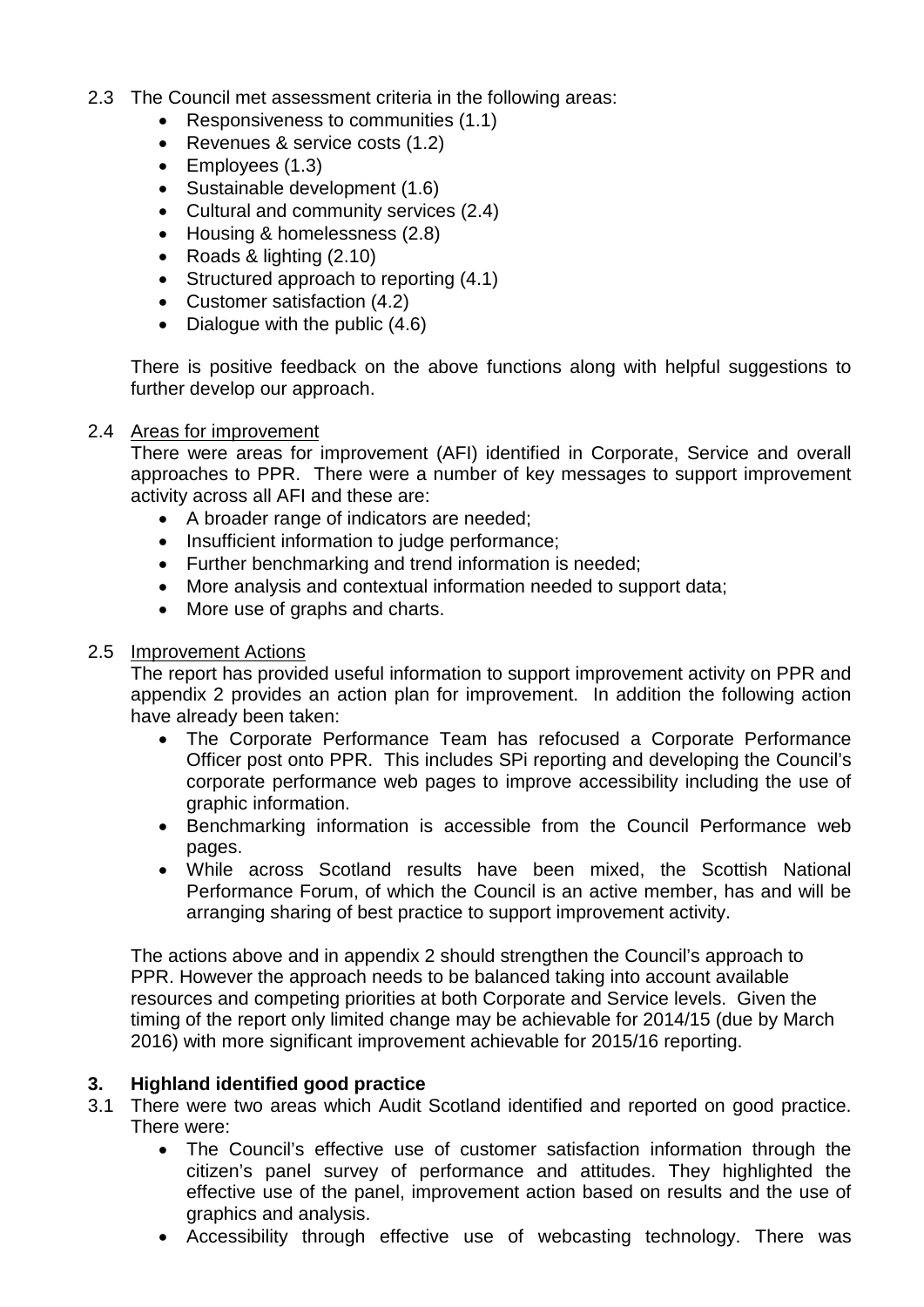- 2.3 The Council met assessment criteria in the following areas:
	- Responsiveness to communities (1.1)
	- Revenues & service costs (1.2)
	- Employees (1.3)
	- Sustainable development (1.6)
	- Cultural and community services (2.4)
	- Housing & homelessness (2.8)
	- Roads & lighting (2.10)
	- Structured approach to reporting (4.1)
	- Customer satisfaction (4.2)
	- Dialogue with the public  $(4.6)$

There is positive feedback on the above functions along with helpful suggestions to further develop our approach.

#### 2.4 Areas for improvement

There were areas for improvement (AFI) identified in Corporate, Service and overall approaches to PPR. There were a number of key messages to support improvement activity across all AFI and these are:

- A broader range of indicators are needed;
- Insufficient information to judge performance:
- Further benchmarking and trend information is needed;
- More analysis and contextual information needed to support data;
- More use of graphs and charts.

#### 2.5 Improvement Actions

The report has provided useful information to support improvement activity on PPR and appendix 2 provides an action plan for improvement. In addition the following action have already been taken:

- The Corporate Performance Team has refocused a Corporate Performance Officer post onto PPR. This includes SPi reporting and developing the Council's corporate performance web pages to improve accessibility including the use of graphic information.
- Benchmarking information is accessible from the Council Performance web pages.
- While across Scotland results have been mixed, the Scottish National Performance Forum, of which the Council is an active member, has and will be arranging sharing of best practice to support improvement activity.

The actions above and in appendix 2 should strengthen the Council's approach to PPR. However the approach needs to be balanced taking into account available resources and competing priorities at both Corporate and Service levels. Given the timing of the report only limited change may be achievable for 2014/15 (due by March 2016) with more significant improvement achievable for 2015/16 reporting.

#### **3. Highland identified good practice**

- 3.1 There were two areas which Audit Scotland identified and reported on good practice. There were:
	- The Council's effective use of customer satisfaction information through the citizen's panel survey of performance and attitudes. They highlighted the effective use of the panel, improvement action based on results and the use of graphics and analysis.
	- Accessibility through effective use of webcasting technology. There was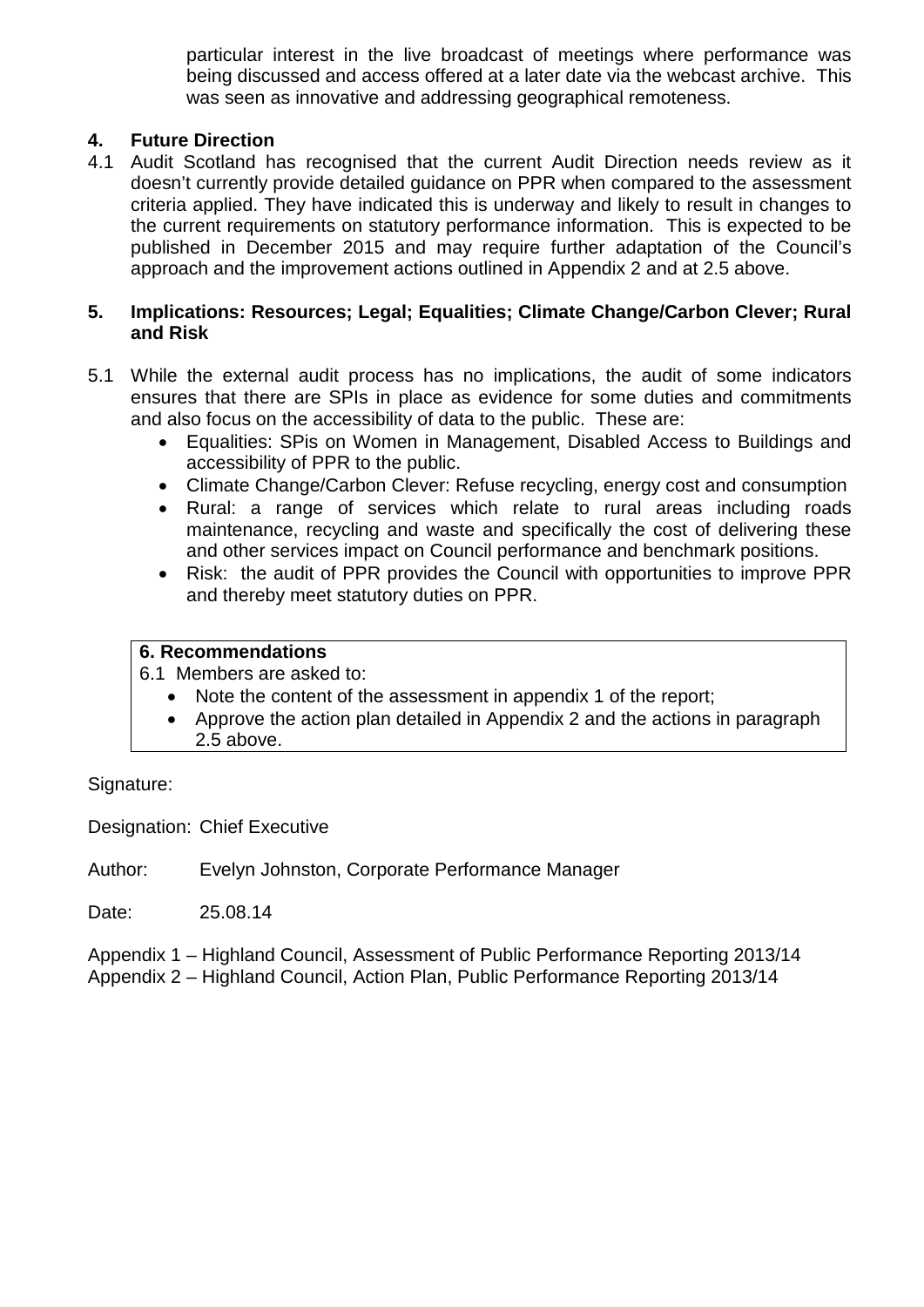particular interest in the live broadcast of meetings where performance was being discussed and access offered at a later date via the webcast archive. This was seen as innovative and addressing geographical remoteness.

#### **4. Future Direction**

4.1 Audit Scotland has recognised that the current Audit Direction needs review as it doesn't currently provide detailed guidance on PPR when compared to the assessment criteria applied. They have indicated this is underway and likely to result in changes to the current requirements on statutory performance information. This is expected to be published in December 2015 and may require further adaptation of the Council's approach and the improvement actions outlined in Appendix 2 and at 2.5 above.

#### **5. Implications: Resources; Legal; Equalities; Climate Change/Carbon Clever; Rural and Risk**

- 5.1 While the external audit process has no implications, the audit of some indicators ensures that there are SPIs in place as evidence for some duties and commitments and also focus on the accessibility of data to the public. These are:
	- Equalities: SPis on Women in Management, Disabled Access to Buildings and accessibility of PPR to the public.
	- Climate Change/Carbon Clever: Refuse recycling, energy cost and consumption
	- Rural: a range of services which relate to rural areas including roads maintenance, recycling and waste and specifically the cost of delivering these and other services impact on Council performance and benchmark positions.
	- Risk: the audit of PPR provides the Council with opportunities to improve PPR and thereby meet statutory duties on PPR.

#### **6. Recommendations**

6.1 Members are asked to:

- Note the content of the assessment in appendix 1 of the report;
- Approve the action plan detailed in Appendix 2 and the actions in paragraph 2.5 above.

Signature:

Designation: Chief Executive

Author: Evelyn Johnston, Corporate Performance Manager

Date: 25.08.14

Appendix 1 – Highland Council, Assessment of Public Performance Reporting 2013/14 Appendix 2 – Highland Council, Action Plan, Public Performance Reporting 2013/14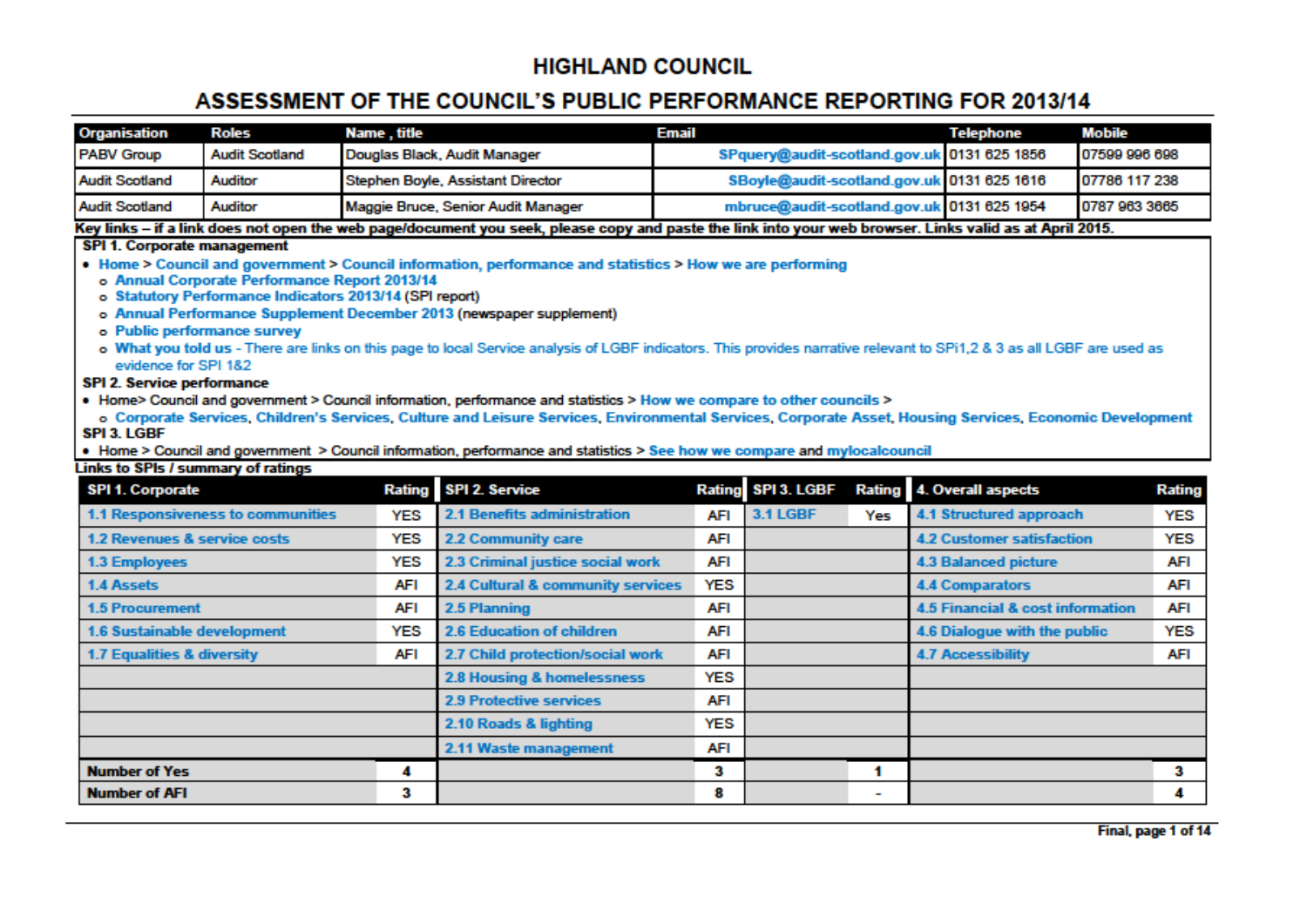# **HIGHLAND COUNCIL**

# ASSESSMENT OF THE COUNCIL'S PUBLIC PERFORMANCE REPORTING FOR 2013/14

| Organisation      | Roles                 | Name , title                       | <b>Email</b>                                | Telephone | Mobile        |
|-------------------|-----------------------|------------------------------------|---------------------------------------------|-----------|---------------|
| <b>PABV Group</b> | <b>Audit Scotland</b> | Douglas Black, Audit Manager       | SPquery@audit-scotland.gov.uk 0131 625 1856 |           | 07599 996 698 |
| Audit Scotland    | Auditor               | Stephen Boyle, Assistant Director  | SBoyle@audit-scotland.gov.uk 0131 625 1616  |           | 07786 117 238 |
| Audit Scotland    | Auditor               | Maggie Bruce, Senior Audit Manager | mbruce@audit-scotland.gov.uk 0131 625 1954  |           | 0787 963 3665 |

Key links – if a link does not open the web page/document you seek, please copy and paste the link into your web browser. Links valid as at April 2015.

#### **SPI 1. Corporate management**

- Home > Council and government > Council information, performance and statistics > How we are performing
	- o Annual Corporate Performance Report 2013/14
	- o Statutory Performance Indicators 2013/14 (SPI report)
	- o Annual Performance Supplement December 2013 (newspaper supplement)
	- o Public performance survey
	- o What you told us There are links on this page to local Service analysis of LGBF indicators. This provides narrative relevant to SPi1,2 & 3 as all LGBF are used as evidence for SPI 182

#### SPI 2. Service performance

- . Home> Council and government > Council information, performance and statistics > How we compare to other councils >
- o Corporate Services, Children's Services, Culture and Leisure Services, Environmental Services, Corporate Asset, Housing Services, Economic Development SPI 3. LGBF
- . Home > Council and government > Council information, performance and statistics > See how we compare and mylocalcouncil

#### Links to SPIs / summary of ratings

| <b>SPI 1. Corporate</b>                  |     | Rating SPI 2. Service             |            | Rating SPI 3. LGBF |                          | Rating 4. Overall aspects           | Rating     |
|------------------------------------------|-----|-----------------------------------|------------|--------------------|--------------------------|-------------------------------------|------------|
| 1.1 Responsiveness to communities        | YES | 2.1 Benefits administration       | <b>AFI</b> | <b>3.1 LGBF</b>    | Yes                      | 4.1 Structured approach             | YES        |
| 1.2 Revenues & service costs             | YES | <b>2.2 Community care</b>         | AFI        |                    |                          | <b>4.2 Customer satisfaction</b>    | YES        |
| <b>1.3 Employees</b>                     | YES | 2.3 Criminal justice social work  | AFI        |                    |                          | <b>4.3 Balanced picture</b>         | <b>AFI</b> |
| 1.4 Assets                               | AFI | 2.4 Cultural & community services | YES        |                    |                          | <b>4.4 Comparators</b>              | AFI        |
| <b>1.5 Procurement</b>                   | AFI | 2.5 Planning                      | AFI        |                    |                          | 4.5 Financial & cost information    | AFI        |
| YES<br>1.6 Sustainable development       |     | 2.6 Education of children         | <b>AFI</b> |                    |                          | YES<br>4.6 Dialogue with the public |            |
| 1.7 Equalities & diversity<br><b>AFI</b> |     | 2.7 Child protection/social work  | AFI        |                    |                          | <b>4.7 Accessibility</b>            |            |
|                                          |     | 2.8 Housing & homelessness        | YES        |                    |                          |                                     |            |
|                                          |     | <b>2.9 Protective services</b>    | AFI        |                    |                          |                                     |            |
|                                          |     | 2.10 Roads & lighting             | YES        |                    |                          |                                     |            |
|                                          |     | 2.11 Waste management             | AFI        |                    |                          |                                     |            |
| <b>Number of Yes</b>                     | 4   |                                   | з          |                    |                          |                                     | 3          |
| <b>Number of AFI</b>                     | 3   |                                   | 8          |                    | $\overline{\phantom{a}}$ |                                     | 4          |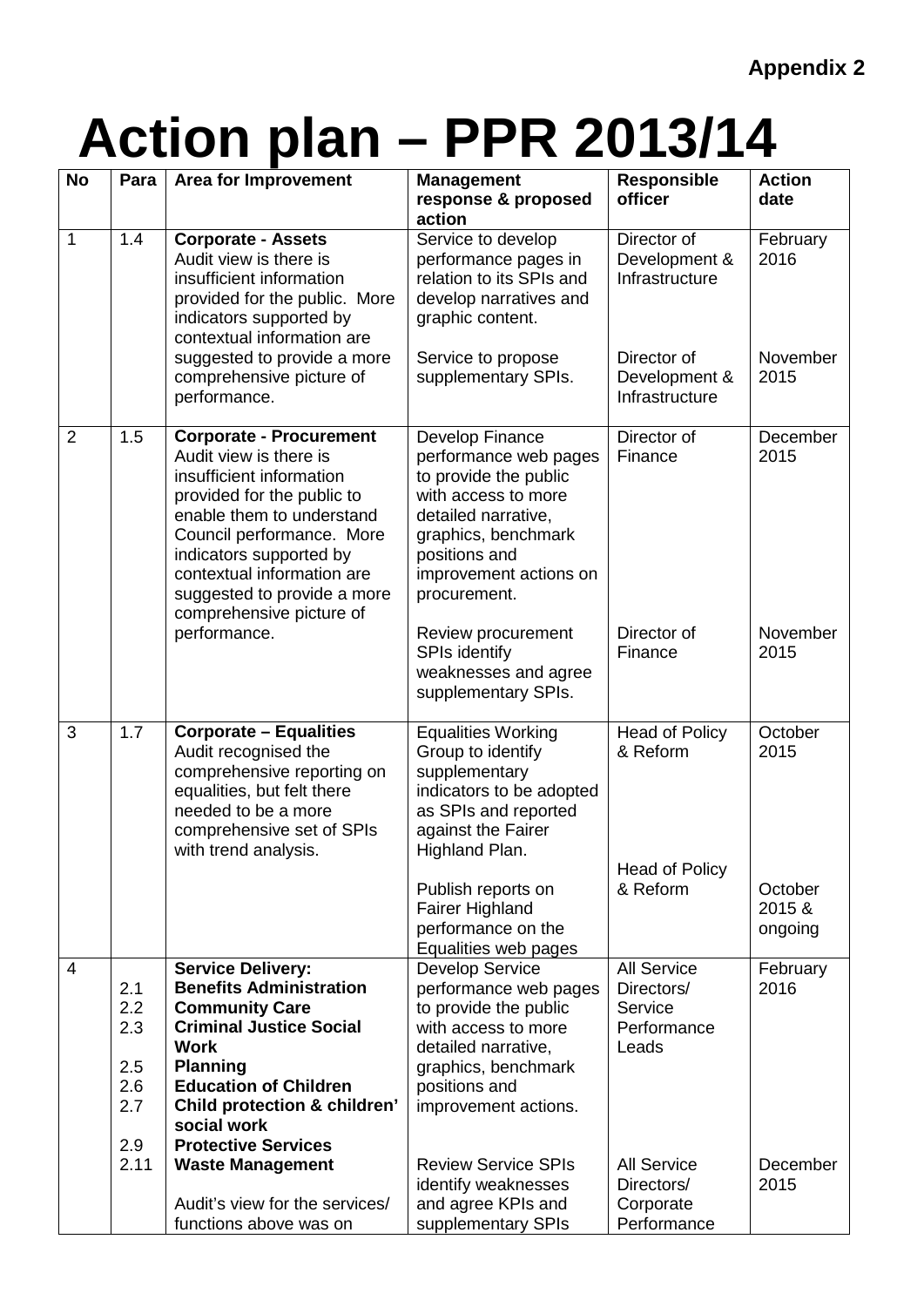# **Action plan – PPR 2013/14**

| <b>No</b>      | Para                                   | <b>Area for Improvement</b>                                                                                                                                                                                                                                                                      | <b>Management</b><br>response & proposed<br>action                                                                                                                                                | <b>Responsible</b><br>officer                                       | <b>Action</b><br>date        |
|----------------|----------------------------------------|--------------------------------------------------------------------------------------------------------------------------------------------------------------------------------------------------------------------------------------------------------------------------------------------------|---------------------------------------------------------------------------------------------------------------------------------------------------------------------------------------------------|---------------------------------------------------------------------|------------------------------|
| $\mathbf{1}$   | 1.4                                    | <b>Corporate - Assets</b><br>Audit view is there is<br>insufficient information<br>provided for the public. More<br>indicators supported by<br>contextual information are                                                                                                                        | Service to develop<br>performance pages in<br>relation to its SPIs and<br>develop narratives and<br>graphic content.                                                                              | Director of<br>Development &<br>Infrastructure                      | February<br>2016             |
|                |                                        | suggested to provide a more<br>comprehensive picture of<br>performance.                                                                                                                                                                                                                          | Service to propose<br>supplementary SPIs.                                                                                                                                                         | Director of<br>Development &<br>Infrastructure                      | November<br>2015             |
| $\overline{2}$ | 1.5                                    | <b>Corporate - Procurement</b><br>Audit view is there is<br>insufficient information<br>provided for the public to<br>enable them to understand<br>Council performance. More<br>indicators supported by<br>contextual information are<br>suggested to provide a more<br>comprehensive picture of | Develop Finance<br>performance web pages<br>to provide the public<br>with access to more<br>detailed narrative,<br>graphics, benchmark<br>positions and<br>improvement actions on<br>procurement. | Director of<br>Finance                                              | December<br>2015             |
|                |                                        | performance.                                                                                                                                                                                                                                                                                     | Review procurement<br>SPIs identify<br>weaknesses and agree<br>supplementary SPIs.                                                                                                                | Director of<br>Finance                                              | November<br>2015             |
| 3              | 1.7                                    | <b>Corporate - Equalities</b><br>Audit recognised the<br>comprehensive reporting on<br>equalities, but felt there<br>needed to be a more<br>comprehensive set of SPIs<br>with trend analysis.                                                                                                    | <b>Equalities Working</b><br>Group to identify<br>supplementary<br>indicators to be adopted<br>as SPIs and reported<br>against the Fairer<br>Highland Plan.                                       | <b>Head of Policy</b><br>& Reform                                   | October<br>2015              |
|                |                                        |                                                                                                                                                                                                                                                                                                  | Publish reports on<br><b>Fairer Highland</b><br>performance on the<br>Equalities web pages                                                                                                        | <b>Head of Policy</b><br>& Reform                                   | October<br>2015 &<br>ongoing |
| 4              | 2.1<br>2.2<br>2.3<br>2.5<br>2.6<br>2.7 | <b>Service Delivery:</b><br><b>Benefits Administration</b><br><b>Community Care</b><br><b>Criminal Justice Social</b><br><b>Work</b><br><b>Planning</b><br><b>Education of Children</b><br><b>Child protection &amp; children'</b>                                                               | <b>Develop Service</b><br>performance web pages<br>to provide the public<br>with access to more<br>detailed narrative,<br>graphics, benchmark<br>positions and<br>improvement actions.            | <b>All Service</b><br>Directors/<br>Service<br>Performance<br>Leads | February<br>2016             |
|                | 2.9<br>2.11                            | social work<br><b>Protective Services</b><br><b>Waste Management</b><br>Audit's view for the services/<br>functions above was on                                                                                                                                                                 | <b>Review Service SPIs</b><br>identify weaknesses<br>and agree KPIs and<br>supplementary SPIs                                                                                                     | <b>All Service</b><br>Directors/<br>Corporate<br>Performance        | December<br>2015             |